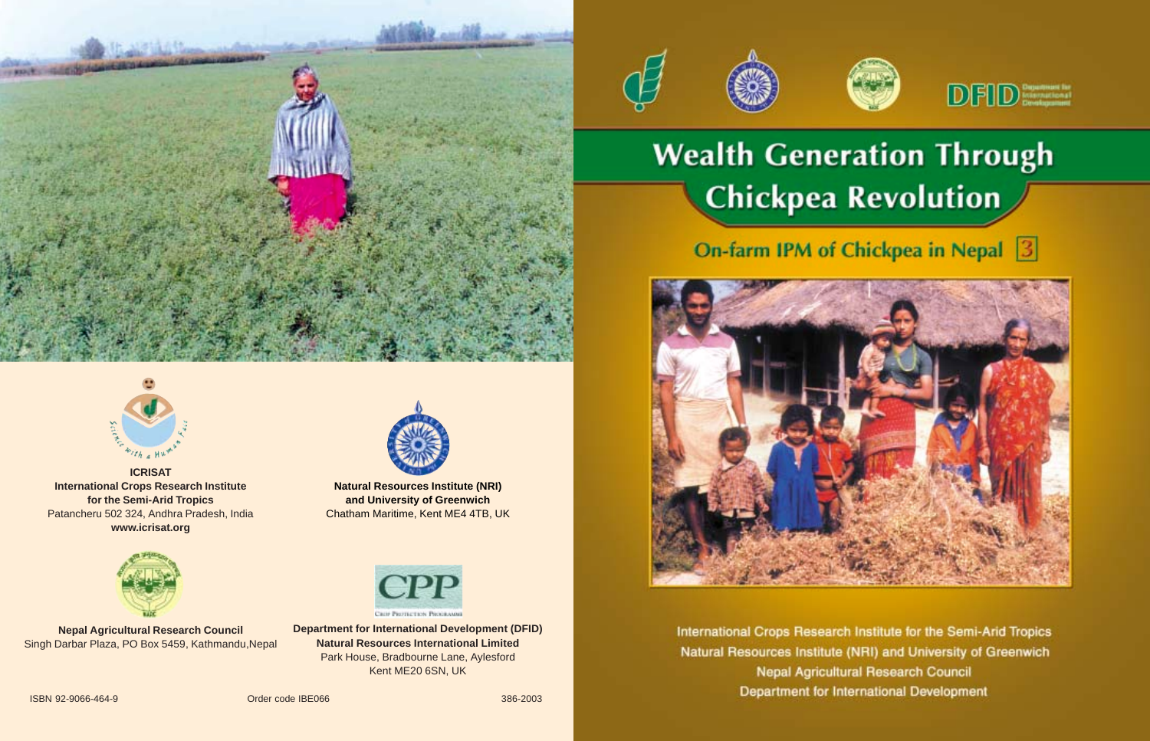



**ICRISAT International Crops Research Institute for the Semi-Arid Tropics** Patancheru 502 324, Andhra Pradesh, India **www.icrisat.org**



**Nepal Agricultural Research Council** Singh Darbar Plaza, PO Box 5459, Kathmandu,Nepal



**Natural Resources Institute (NRI) and University of Greenwich** Chatham Maritime, Kent ME4 4TB, UK



**Department for International Development (DFID) Natural Resources International Limited** Park House, Bradbourne Lane, Aylesford Kent ME20 6SN, UK



# **Wealth Generation Through Chickpea Revolution**

# On-farm IPM of Chickpea in Nepal 3



International Crops Research Institute for the Semi-Arid Tropics Natural Resources Institute (NRI) and University of Greenwich **Nepal Agricultural Research Council** Department for International Development

**ISBN 92-9066-464-9** 386-2003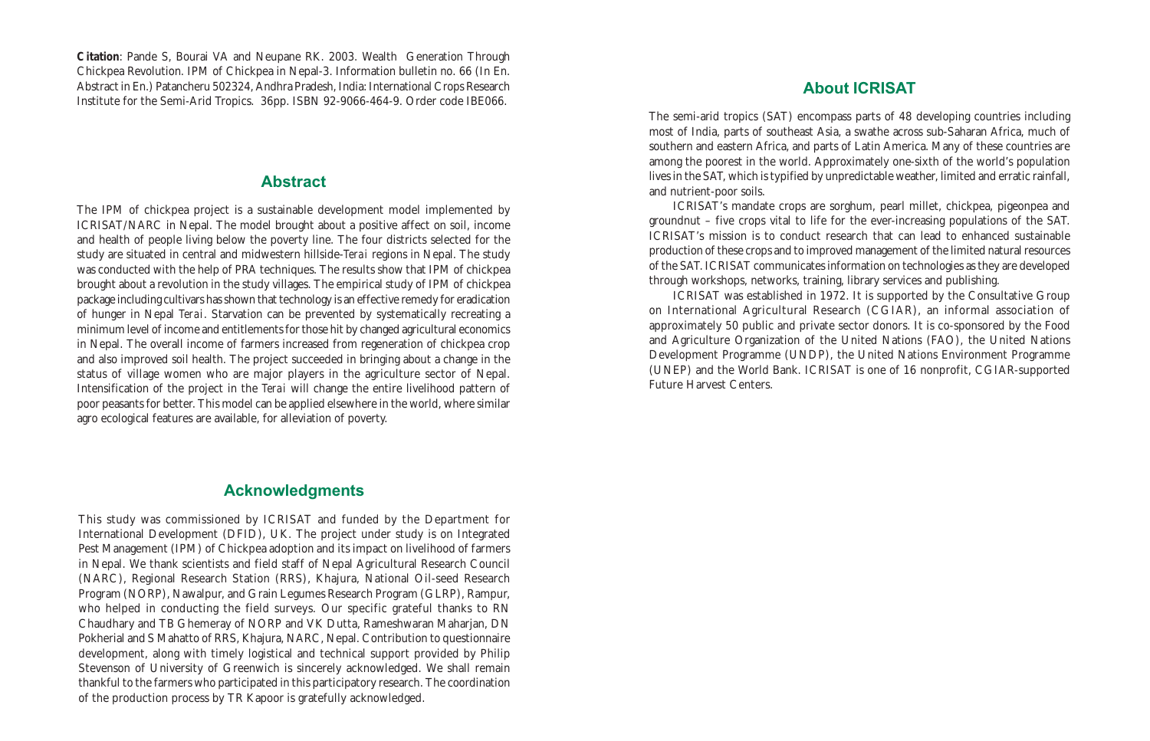**Citation**: Pande S, Bourai VA and Neupane RK. 2003. Wealth Generation Through Chickpea Revolution. IPM of Chickpea in Nepal-3. Information bulletin no. 66 (In En. Abstract in En.) Patancheru 502324, Andhra Pradesh, India: International Crops Research Institute for the Semi-Arid Tropics. 36pp. ISBN 92-9066-464-9. Order code IBE066.

#### Abstract

The IPM of chickpea project is a sustainable development model implemented by ICRISAT/NARC in Nepal. The model brought about a positive affect on soil, income and health of people living below the poverty line. The four districts selected for the study are situated in central and midwestern hillside-*Terai* regions in Nepal. The study was conducted with the help of PRA techniques. The results show that IPM of chickpea brought about a revolution in the study villages. The empirical study of IPM of chickpea package including cultivars has shown that technology is an effective remedy for eradication of hunger in Nepal *Terai*. Starvation can be prevented by systematically recreating a minimum level of income and entitlements for those hit by changed agricultural economics in Nepal. The overall income of farmers increased from regeneration of chickpea crop and also improved soil health. The project succeeded in bringing about a change in the status of village women who are major players in the agriculture sector of Nepal. Intensification of the project in the *Terai* will change the entire livelihood pattern of poor peasants for better. This model can be applied elsewhere in the world, where similar agro ecological features are available, for alleviation of poverty.

### Acknowledgments

This study was commissioned by ICRISAT and funded by the Department for International Development (DFID), UK. The project under study is on Integrated Pest Management (IPM) of Chickpea adoption and its impact on livelihood of farmers in Nepal. We thank scientists and field staff of Nepal Agricultural Research Council (NARC), Regional Research Station (RRS), Khajura, National Oil-seed Research Program (NORP), Nawalpur, and Grain Legumes Research Program (GLRP), Rampur, who helped in conducting the field surveys. Our specific grateful thanks to RN Chaudhary and TB Ghemeray of NORP and VK Dutta, Rameshwaran Maharjan, DN Pokherial and S Mahatto of RRS, Khajura, NARC, Nepal. Contribution to questionnaire development, along with timely logistical and technical support provided by Philip Stevenson of University of Greenwich is sincerely acknowledged. We shall remain thankful to the farmers who participated in this participatory research. The coordination of the production process by TR Kapoor is gratefully acknowledged.

### About ICRISAT

The semi-arid tropics (SAT) encompass parts of 48 developing countries including most of India, parts of southeast Asia, a swathe across sub-Saharan Africa, much of southern and eastern Africa, and parts of Latin America. Many of these countries are among the poorest in the world. Approximately one-sixth of the world's population lives in the SAT, which is typified by unpredictable weather, limited and erratic rainfall, and nutrient-poor soils.

ICRISAT's mandate crops are sorghum, pearl millet, chickpea, pigeonpea and groundnut – five crops vital to life for the ever-increasing populations of the SAT. ICRISAT's mission is to conduct research that can lead to enhanced sustainable production of these crops and to improved management of the limited natural resources of the SAT. ICRISAT communicates information on technologies as they are developed through workshops, networks, training, library services and publishing.

ICRISAT was established in 1972. It is supported by the Consultative Group on International Agricultural Research (CGIAR), an informal association of approximately 50 public and private sector donors. It is co-sponsored by the Food and Agriculture Organization of the United Nations (FAO), the United Nations Development Programme (UNDP), the United Nations Environment Programme (UNEP) and the World Bank. ICRISAT is one of 16 nonprofit, CGIAR-supported Future Harvest Centers.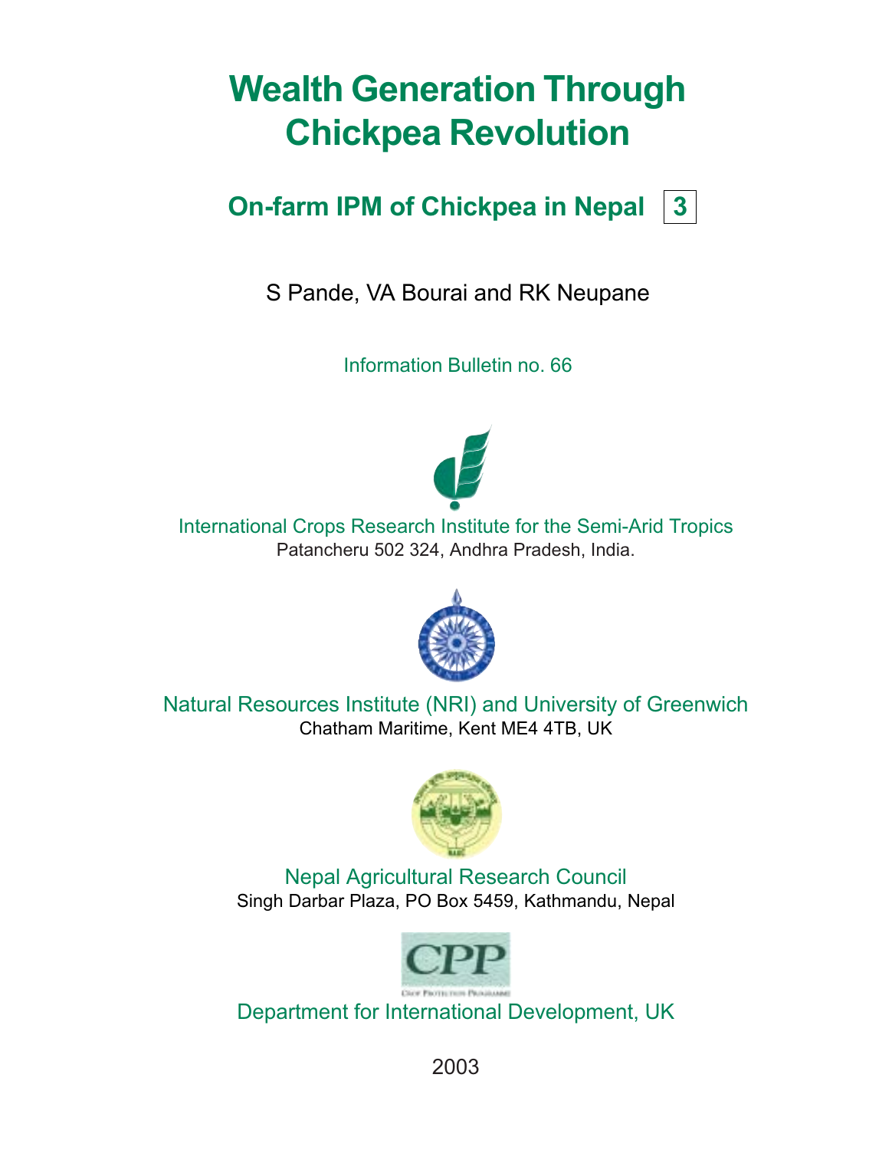# Wealth Generation Through Chickpea Revolution

# On-farm IPM of Chickpea in Nepal  $|3|$

S Pande, VA Bourai and RK Neupane

Information Bulletin no. 66



International Crops Research Institute for the Semi-Arid Tropics Patancheru 502 324, Andhra Pradesh, India.



Natural Resources Institute (NRI) and University of Greenwich Chatham Maritime, Kent ME4 4TB, UK



Nepal Agricultural Research Council Singh Darbar Plaza, PO Box 5459, Kathmandu, Nepal



Department for International Development, UK

2003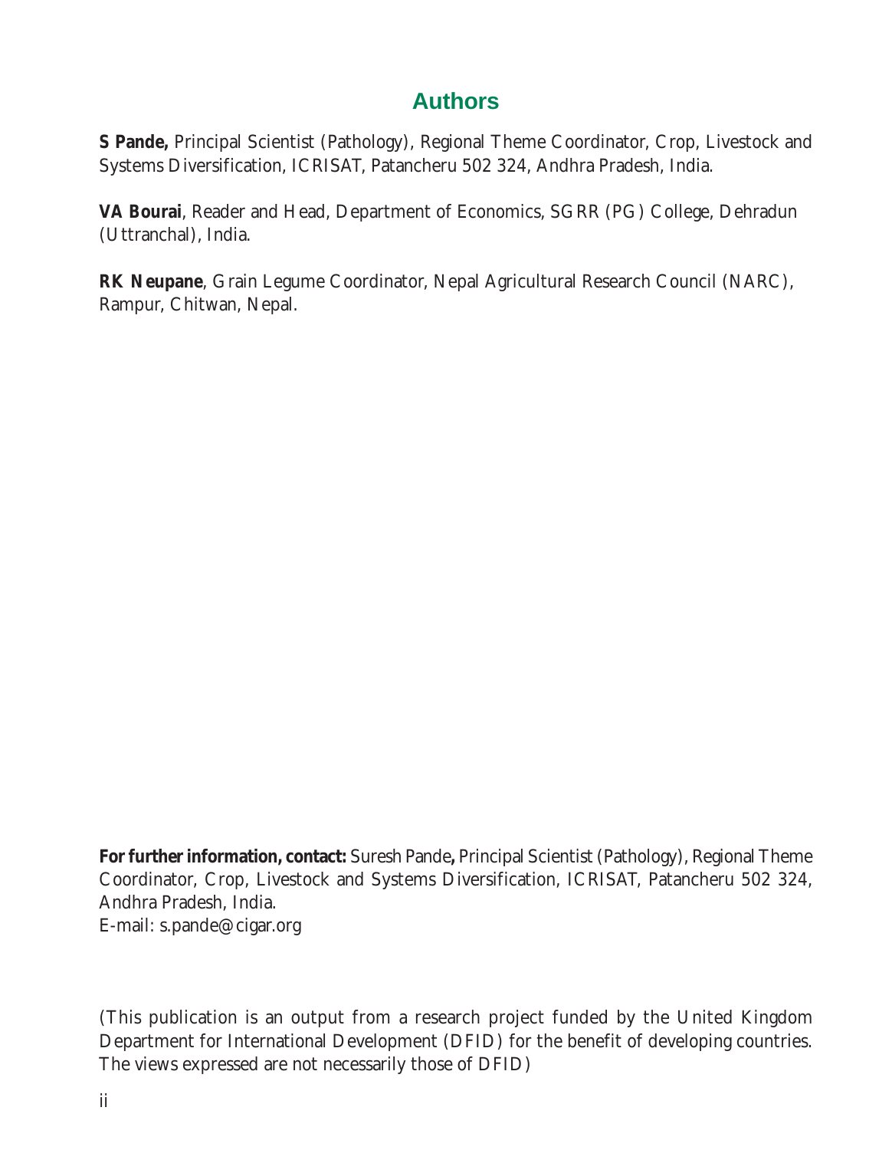### **Authors**

**S Pande,** Principal Scientist (Pathology), Regional Theme Coordinator, Crop, Livestock and Systems Diversification, ICRISAT, Patancheru 502 324, Andhra Pradesh, India.

**VA Bourai**, Reader and Head, Department of Economics, SGRR (PG) College, Dehradun (Uttranchal), India.

**RK Neupane**, Grain Legume Coordinator, Nepal Agricultural Research Council (NARC), Rampur, Chitwan, Nepal.

**For further information, contact:** Suresh Pande**,** Principal Scientist (Pathology), Regional Theme Coordinator, Crop, Livestock and Systems Diversification, ICRISAT, Patancheru 502 324, Andhra Pradesh, India. E-mail: s.pande@cigar.org

(This publication is an output from a research project funded by the United Kingdom Department for International Development (DFID) for the benefit of developing countries. The views expressed are not necessarily those of DFID)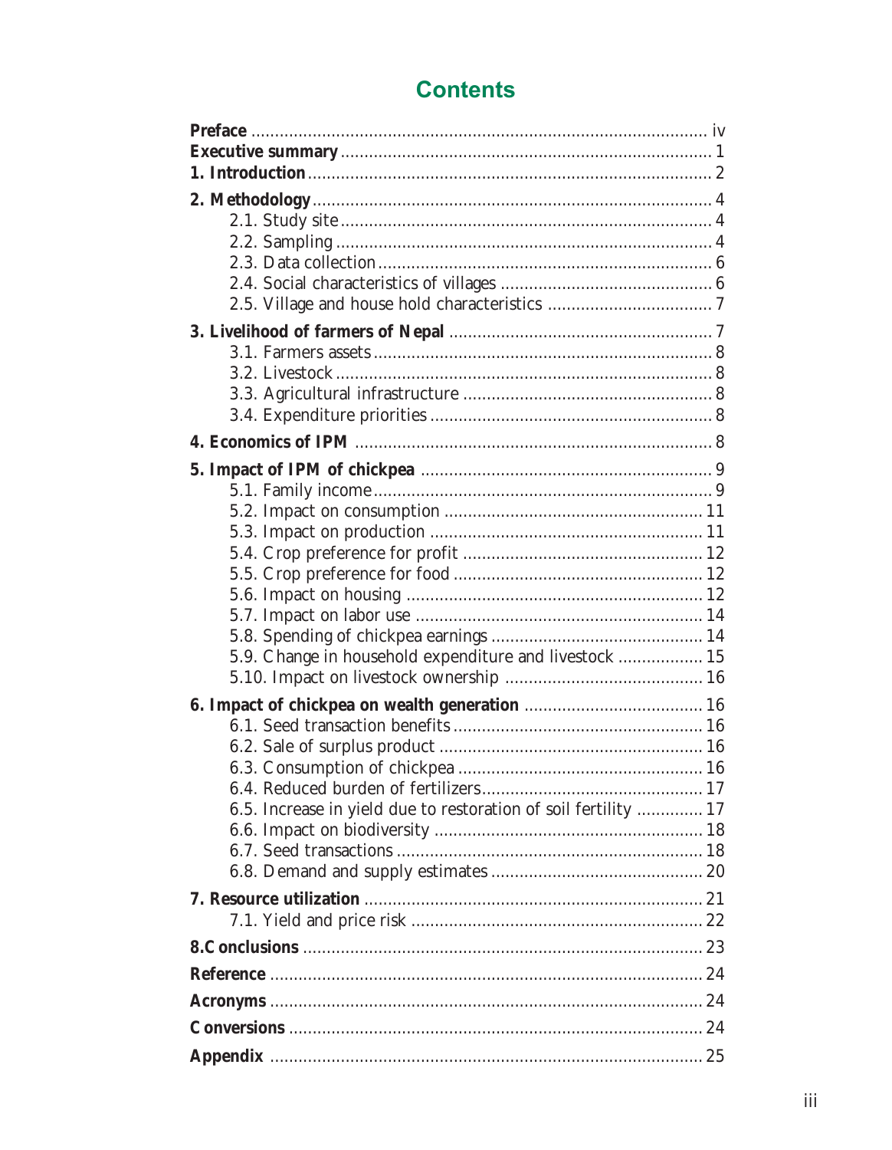## **Contents**

| 5.9. Change in household expenditure and livestock  15          |
|-----------------------------------------------------------------|
|                                                                 |
|                                                                 |
|                                                                 |
|                                                                 |
|                                                                 |
|                                                                 |
|                                                                 |
| 6.5. Increase in yield due to restoration of soil fertility  17 |
|                                                                 |
|                                                                 |
|                                                                 |
|                                                                 |
|                                                                 |
|                                                                 |
|                                                                 |
|                                                                 |
|                                                                 |
|                                                                 |
|                                                                 |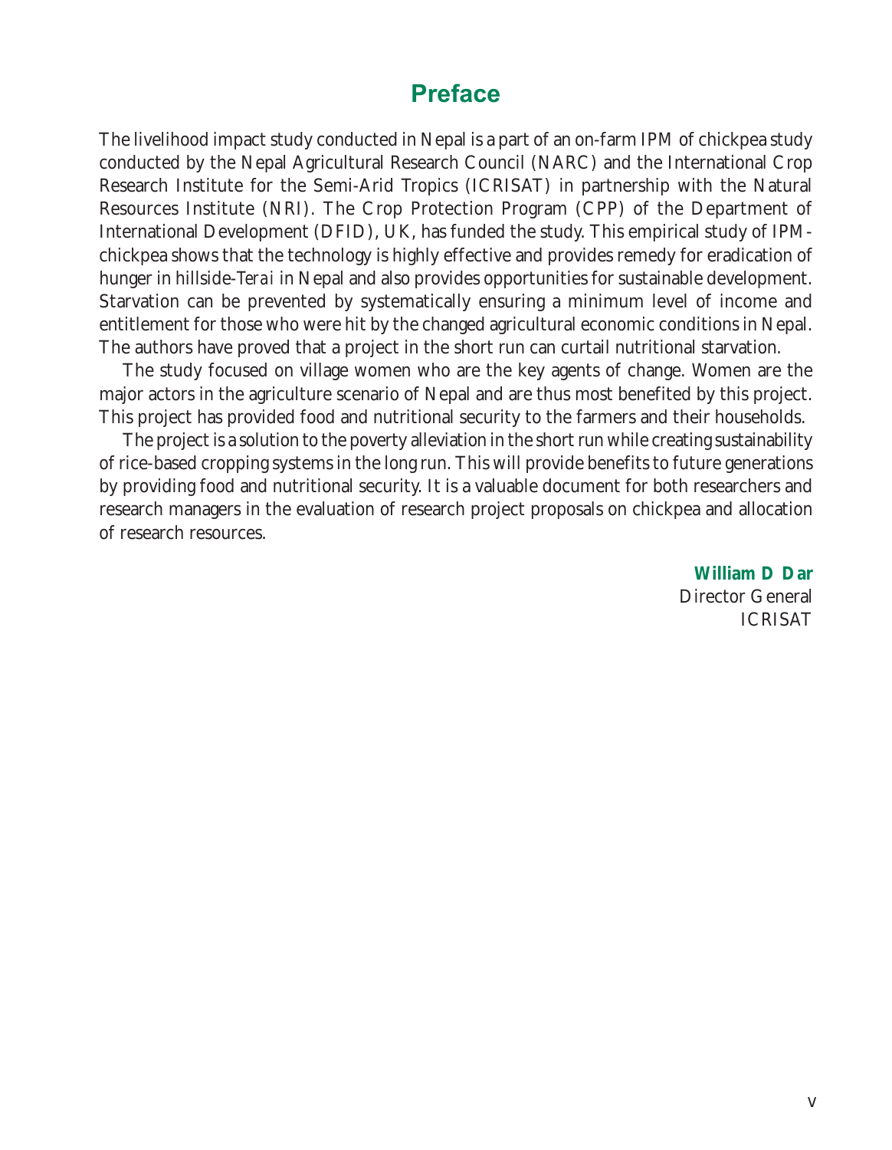### Preface

The livelihood impact study conducted in Nepal is a part of an on-farm IPM of chickpea study conducted by the Nepal Agricultural Research Council (NARC) and the International Crop Research Institute for the Semi-Arid Tropics (ICRISAT) in partnership with the Natural Resources Institute (NRI). The Crop Protection Program (CPP) of the Department of International Development (DFID), UK, has funded the study. This empirical study of IPMchickpea shows that the technology is highly effective and provides remedy for eradication of hunger in hillside-*Terai* in Nepal and also provides opportunities for sustainable development. Starvation can be prevented by systematically ensuring a minimum level of income and entitlement for those who were hit by the changed agricultural economic conditions in Nepal. The authors have proved that a project in the short run can curtail nutritional starvation.

The study focused on village women who are the key agents of change. Women are the major actors in the agriculture scenario of Nepal and are thus most benefited by this project. This project has provided food and nutritional security to the farmers and their households.

The project is a solution to the poverty alleviation in the short run while creating sustainability of rice-based cropping systems in the long run. This will provide benefits to future generations by providing food and nutritional security. It is a valuable document for both researchers and research managers in the evaluation of research project proposals on chickpea and allocation of research resources.

> **William D Dar** Director General ICRISAT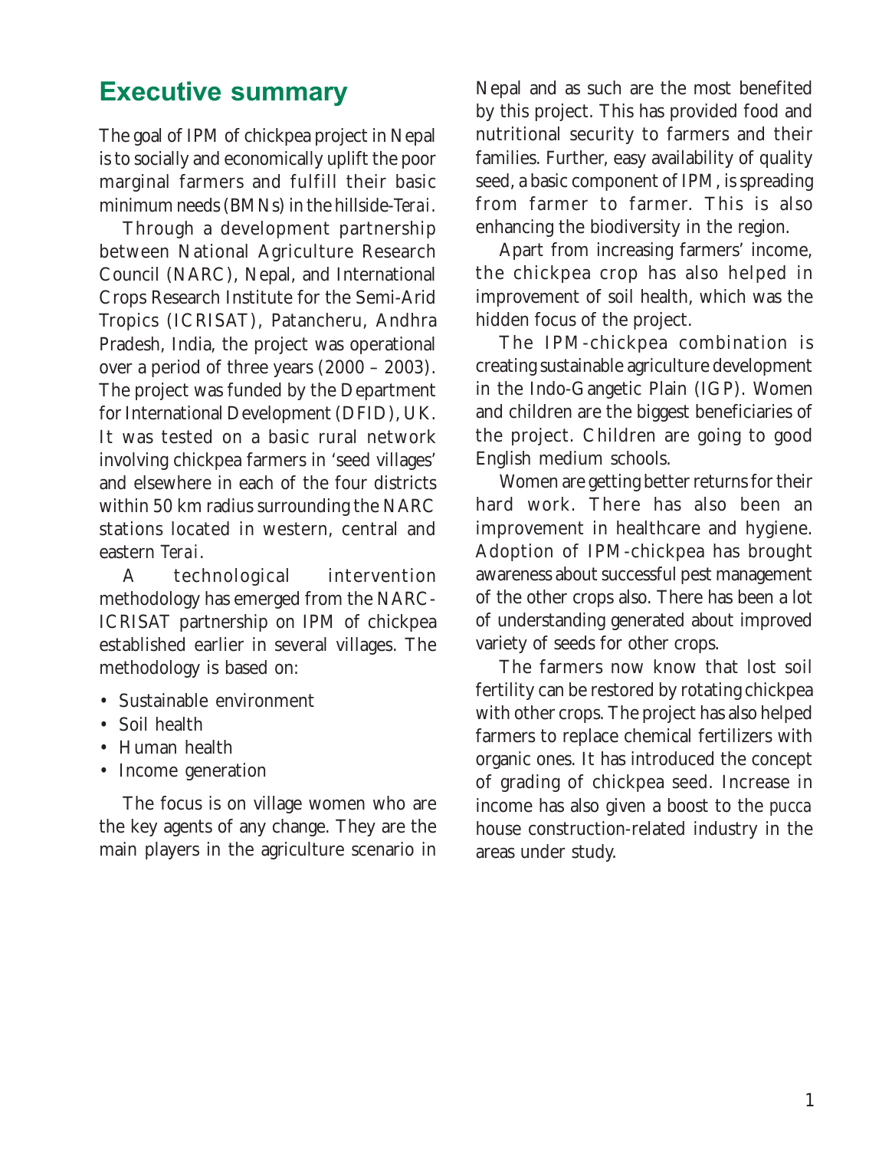### Executive summary

The goal of IPM of chickpea project in Nepal is to socially and economically uplift the poor marginal farmers and fulfill their basic minimum needs (BMNs) in the hillside-*Terai*.

Through a development partnership between National Agriculture Research Council (NARC), Nepal, and International Crops Research Institute for the Semi-Arid Tropics (ICRISAT), Patancheru, Andhra Pradesh, India, the project was operational over a period of three years (2000 – 2003). The project was funded by the Department for International Development (DFID), UK. It was tested on a basic rural network involving chickpea farmers in 'seed villages' and elsewhere in each of the four districts within 50 km radius surrounding the NARC stations located in western, central and eastern *Terai*.

A technological intervention methodology has emerged from the NARC-ICRISAT partnership on IPM of chickpea established earlier in several villages. The methodology is based on:

- Sustainable environment
- Soil health
- Human health
- Income generation

The focus is on village women who are the key agents of any change. They are the main players in the agriculture scenario in Nepal and as such are the most benefited by this project. This has provided food and nutritional security to farmers and their families. Further, easy availability of quality seed, a basic component of IPM, is spreading from farmer to farmer. This is also enhancing the biodiversity in the region.

Apart from increasing farmers' income, the chickpea crop has also helped in improvement of soil health, which was the hidden focus of the project.

The IPM-chickpea combination is creating sustainable agriculture development in the Indo-Gangetic Plain (IGP). Women and children are the biggest beneficiaries of the project. Children are going to good English medium schools.

Women are getting better returns for their hard work. There has also been an improvement in healthcare and hygiene. Adoption of IPM-chickpea has brought awareness about successful pest management of the other crops also. There has been a lot of understanding generated about improved variety of seeds for other crops.

The farmers now know that lost soil fertility can be restored by rotating chickpea with other crops. The project has also helped farmers to replace chemical fertilizers with organic ones. It has introduced the concept of grading of chickpea seed. Increase in income has also given a boost to the *pucca* house construction-related industry in the areas under study.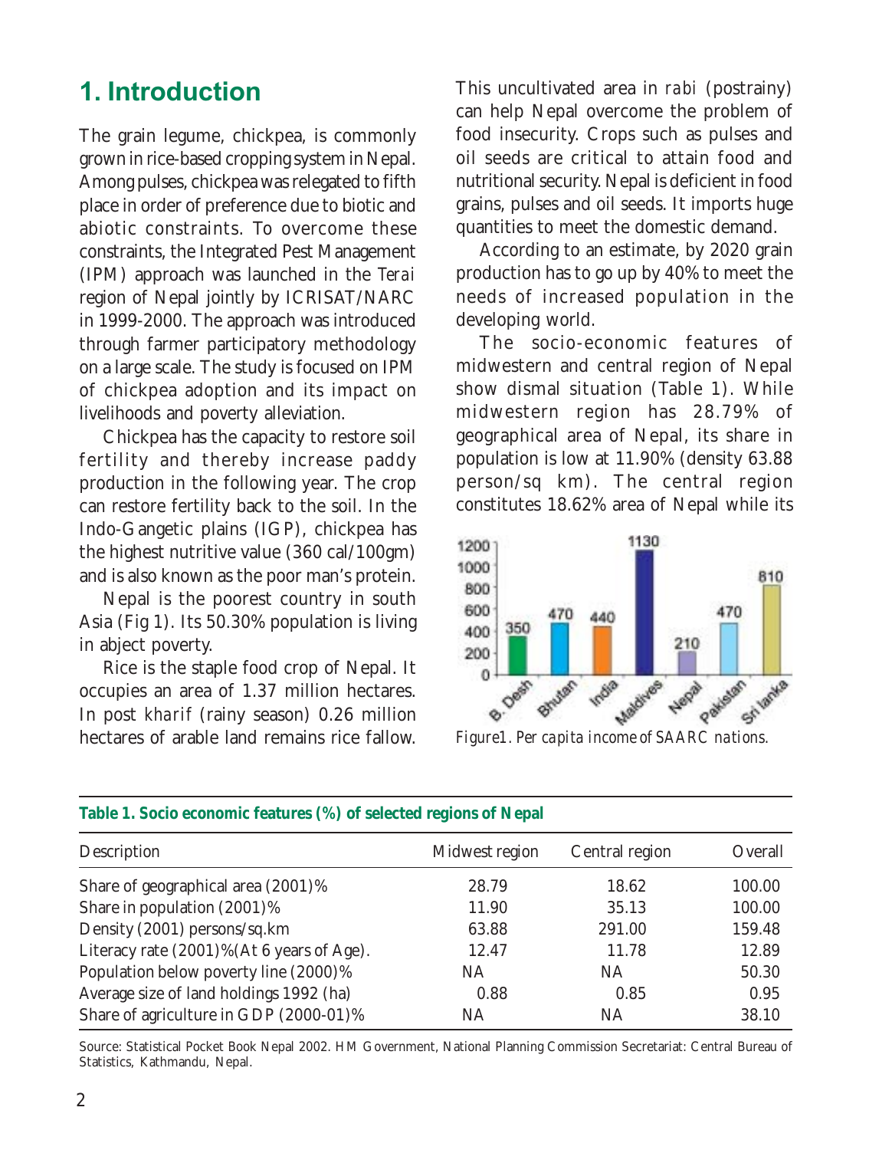# 1. Introduction

The grain legume, chickpea, is commonly grown in rice-based cropping system in Nepal. Among pulses, chickpea was relegated to fifth place in order of preference due to biotic and abiotic constraints. To overcome these constraints, the Integrated Pest Management (IPM) approach was launched in the *Terai* region of Nepal jointly by ICRISAT/NARC in 1999-2000. The approach was introduced through farmer participatory methodology on a large scale. The study is focused on IPM of chickpea adoption and its impact on livelihoods and poverty alleviation.

Chickpea has the capacity to restore soil fertility and thereby increase paddy production in the following year. The crop can restore fertility back to the soil. In the Indo-Gangetic plains (IGP), chickpea has the highest nutritive value (360 cal/100gm) and is also known as the poor man's protein.

Nepal is the poorest country in south Asia (Fig 1). Its 50.30% population is living in abject poverty.

Rice is the staple food crop of Nepal. It occupies an area of 1.37 million hectares. In post *kharif* (rainy season) 0.26 million hectares of arable land remains rice fallow.

This uncultivated area in *rabi* (postrainy) can help Nepal overcome the problem of food insecurity. Crops such as pulses and oil seeds are critical to attain food and nutritional security. Nepal is deficient in food grains, pulses and oil seeds. It imports huge quantities to meet the domestic demand.

According to an estimate, by 2020 grain production has to go up by 40% to meet the needs of increased population in the developing world.

The socio-economic features of midwestern and central region of Nepal show dismal situation (Table 1). While midwestern region has 28.79% of geographical area of Nepal, its share in population is low at 11.90% (density 63.88 person/sq km). The central region constitutes 18.62% area of Nepal while its



| Description                               | Midwest region | Central region | Overall |
|-------------------------------------------|----------------|----------------|---------|
| Share of geographical area (2001)%        | 28.79          | 18.62          | 100.00  |
| Share in population (2001)%               | 11.90          | 35.13          | 100.00  |
| Density (2001) persons/sq.km              | 63.88          | 291.00         | 159.48  |
| Literacy rate (2001)%(At 6 years of Age). | 12.47          | 11.78          | 12.89   |
| Population below poverty line (2000)%     | NA             | <b>NA</b>      | 50.30   |
| Average size of land holdings 1992 (ha)   | 0.88           | 0.85           | 0.95    |
| Share of agriculture in GDP (2000-01)%    | NA.            | <b>NA</b>      | 38.10   |
|                                           |                |                |         |

#### **Table 1. Socio economic features (%) of selected regions of Nepal**

Source: Statistical Pocket Book Nepal 2002. HM Government, National Planning Commission Secretariat: Central Bureau of Statistics, Kathmandu, Nepal.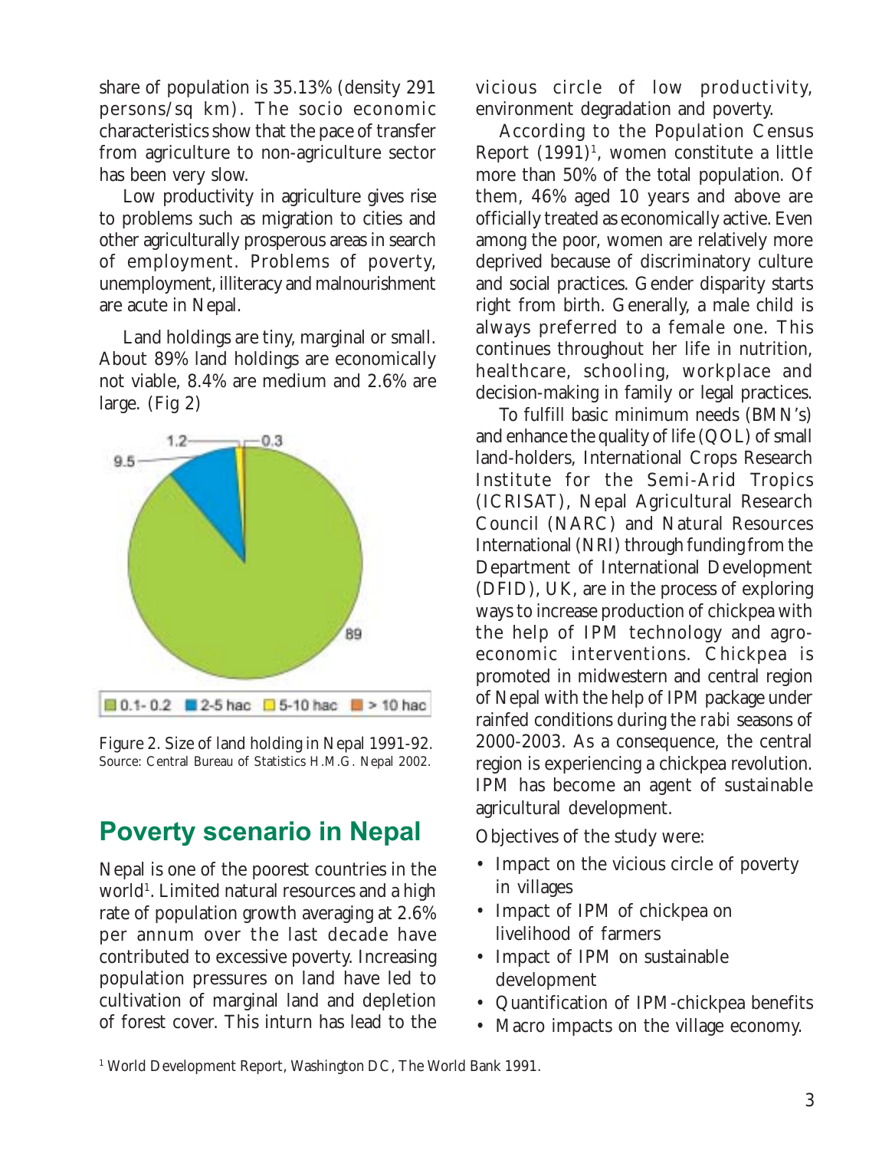share of population is 35.13% (density 291 persons/sq km). The socio economic characteristics show that the pace of transfer from agriculture to non-agriculture sector has been very slow.

Low productivity in agriculture gives rise to problems such as migration to cities and other agriculturally prosperous areas in search of employment. Problems of poverty, unemployment, illiteracy and malnourishment are acute in Nepal.

Land holdings are tiny, marginal or small. About 89% land holdings are economically not viable, 8.4% are medium and 2.6% are large. (Fig 2)



Figure 2. Size of land holding in Nepal 1991-92*.* Source: Central Bureau of Statistics H.M.G. Nepal 2002.

## Poverty scenario in Nepal

Nepal is one of the poorest countries in the world<sup>1</sup>. Limited natural resources and a high rate of population growth averaging at 2.6% per annum over the last decade have contributed to excessive poverty. Increasing population pressures on land have led to cultivation of marginal land and depletion of forest cover. This inturn has lead to the vicious circle of low productivity, environment degradation and poverty.

According to the Population Census Report (1991)<sup>1</sup>, women constitute a little more than 50% of the total population. Of them, 46% aged 10 years and above are officially treated as economically active. Even among the poor, women are relatively more deprived because of discriminatory culture and social practices. Gender disparity starts right from birth. Generally, a male child is always preferred to a female one. This continues throughout her life in nutrition, healthcare, schooling, workplace and decision-making in family or legal practices.

To fulfill basic minimum needs (BMN's) and enhance the quality of life (QOL) of small land-holders, International Crops Research Institute for the Semi-Arid Tropics (ICRISAT), Nepal Agricultural Research Council (NARC) and Natural Resources International (NRI) through funding from the Department of International Development (DFID), UK, are in the process of exploring ways to increase production of chickpea with the help of IPM technology and agroeconomic interventions. Chickpea is promoted in midwestern and central region of Nepal with the help of IPM package under rainfed conditions during the *rabi* seasons of 2000-2003. As a consequence, the central region is experiencing a chickpea revolution. IPM has become an agent of sustainable agricultural development.

Objectives of the study were:

- Impact on the vicious circle of poverty in villages
- Impact of IPM of chickpea on livelihood of farmers
- Impact of IPM on sustainable development
- Quantification of IPM-chickpea benefits
- Macro impacts on the village economy.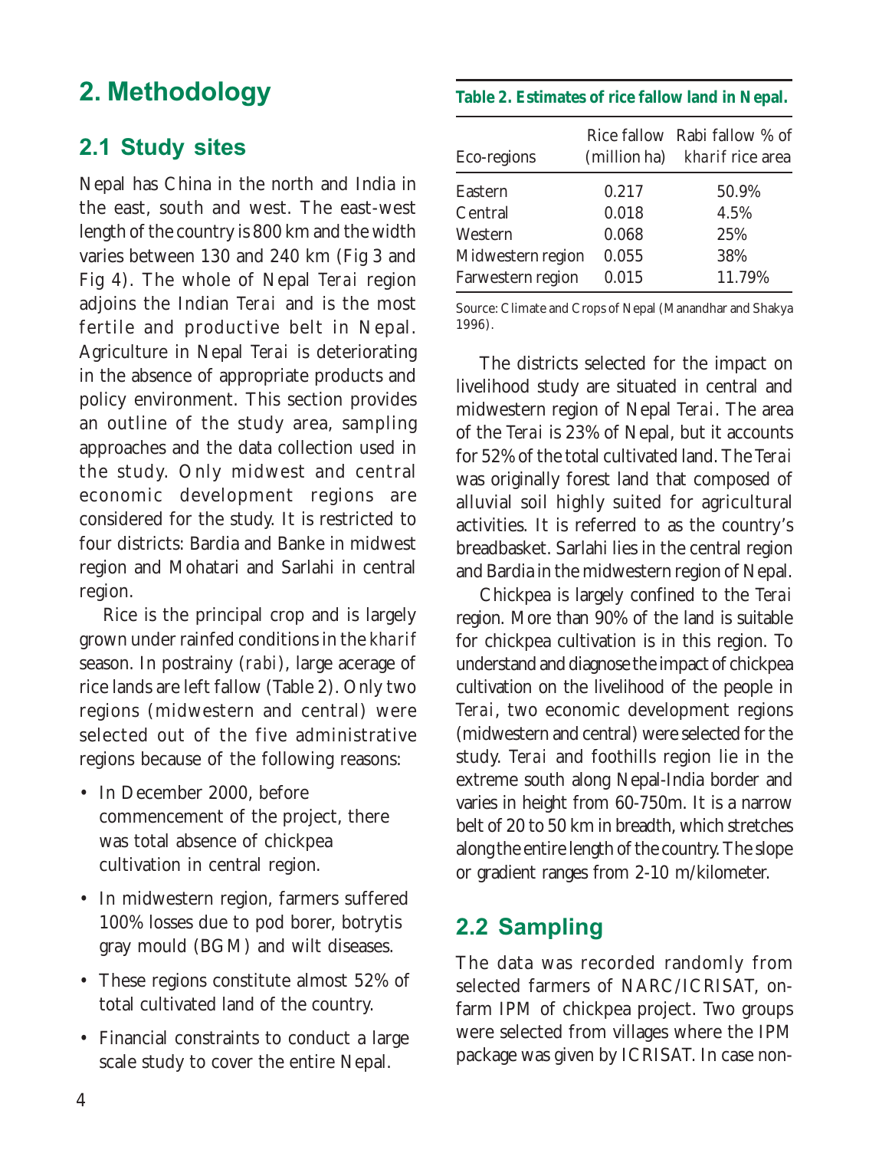# 2. Methodology

### 2.1 Study sites

Nepal has China in the north and India in the east, south and west. The east-west length of the country is 800 km and the width varies between 130 and 240 km (Fig 3 and Fig 4). The whole of Nepal *Terai* region adjoins the Indian *Terai* and is the most fertile and productive belt in Nepal. Agriculture in Nepal *Terai* is deteriorating in the absence of appropriate products and policy environment. This section provides an outline of the study area, sampling approaches and the data collection used in the study. Only midwest and central economic development regions are considered for the study. It is restricted to four districts: Bardia and Banke in midwest region and Mohatari and Sarlahi in central region.

Rice is the principal crop and is largely grown under rainfed conditions in the *kharif* season. In postrainy (*rabi*), large acerage of rice lands are left fallow (Table 2). Only two regions (midwestern and central) were selected out of the five administrative regions because of the following reasons:

- In December 2000, before commencement of the project, there was total absence of chickpea cultivation in central region.
- In midwestern region, farmers suffered 100% losses due to pod borer, botrytis gray mould (BGM) and wilt diseases.
- These regions constitute almost 52% of total cultivated land of the country.
- Financial constraints to conduct a large scale study to cover the entire Nepal.

#### **Table 2. Estimates of rice fallow land in Nepal.**

| Eco-regions       |       | Rice fallow Rabi fallow % of<br>(million ha) kharif rice area |
|-------------------|-------|---------------------------------------------------------------|
| Eastern           | 0.217 | 50.9%                                                         |
| Central           | 0.018 | 4.5%                                                          |
| Western           | 0.068 | 25%                                                           |
| Midwestern region | 0.055 | 38%                                                           |
| Farwestern region | 0.015 | 11.79%                                                        |

Source: Climate and Crops of Nepal (Manandhar and Shakya 1996).

The districts selected for the impact on livelihood study are situated in central and midwestern region of Nepal *Terai*. The area of the *Terai* is 23% of Nepal, but it accounts for 52% of the total cultivated land. The *Terai* was originally forest land that composed of alluvial soil highly suited for agricultural activities. It is referred to as the country's breadbasket. Sarlahi lies in the central region and Bardia in the midwestern region of Nepal.

Chickpea is largely confined to the *Terai* region. More than 90% of the land is suitable for chickpea cultivation is in this region. To understand and diagnose the impact of chickpea cultivation on the livelihood of the people in *Terai*, two economic development regions (midwestern and central) were selected for the study. *Terai* and foothills region lie in the extreme south along Nepal-India border and varies in height from 60-750m. It is a narrow belt of 20 to 50 km in breadth, which stretches along the entire length of the country. The slope or gradient ranges from 2-10 m/kilometer.

### 2.2 Sampling

The data was recorded randomly from selected farmers of NARC/ICRISAT, onfarm IPM of chickpea project. Two groups were selected from villages where the IPM package was given by ICRISAT. In case non-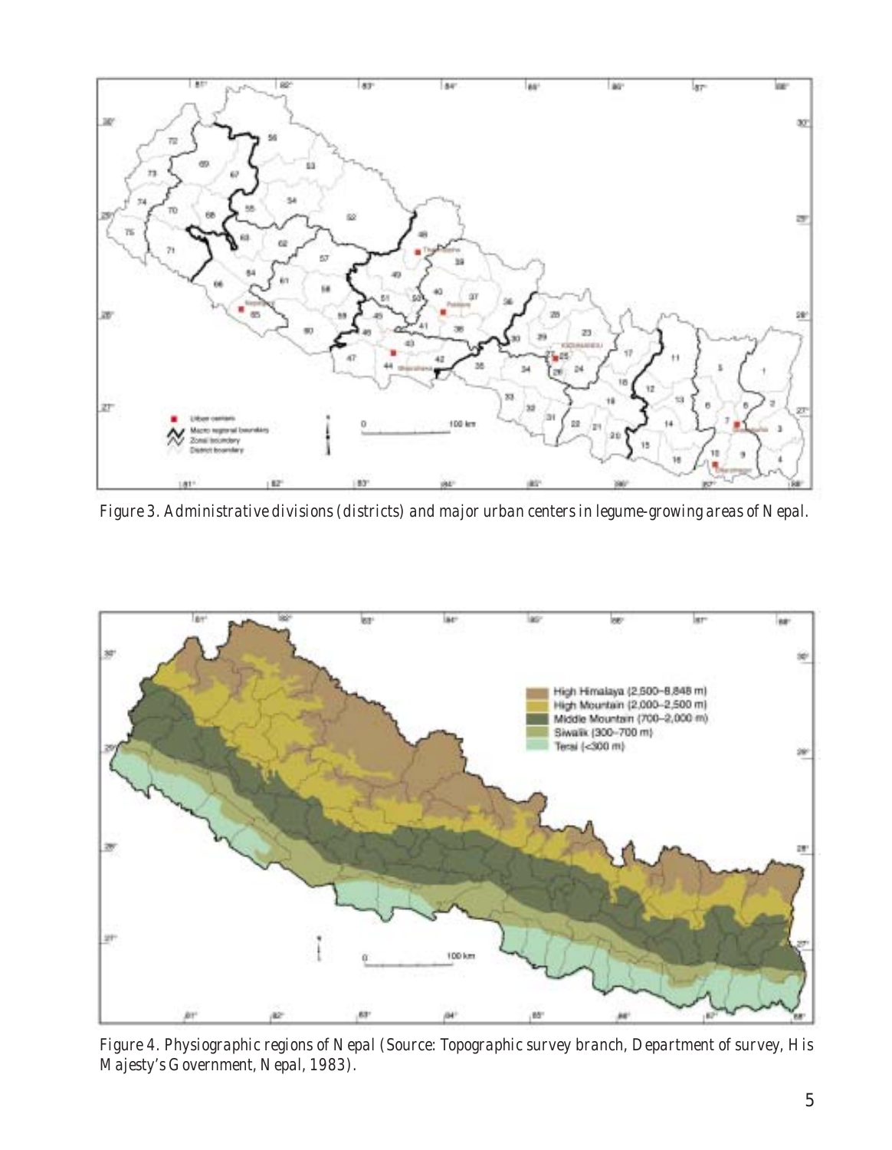

*Figure 3. Administrative divisions (districts) and major urban centers in legume-growing areas of Nepal.*



*Figure 4. Physiographic regions of Nepal (Source: Topographic survey branch, Department of survey, His Majesty's Government, Nepal, 1983).*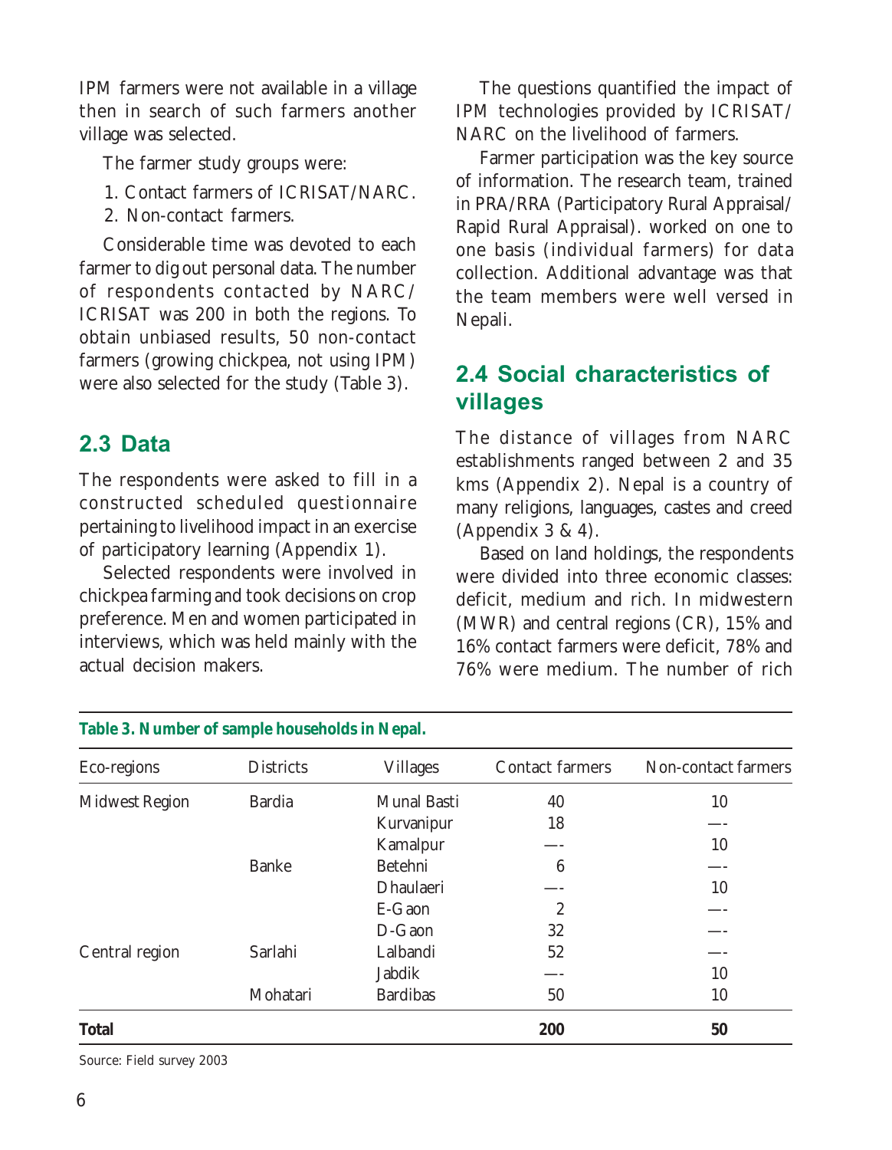IPM farmers were not available in a village then in search of such farmers another village was selected.

The farmer study groups were:

- 1. Contact farmers of ICRISAT/NARC.
- 2. Non-contact farmers.

Considerable time was devoted to each farmer to dig out personal data. The number of respondents contacted by NARC/ ICRISAT was 200 in both the regions. To obtain unbiased results, 50 non-contact farmers (growing chickpea, not using IPM) were also selected for the study (Table 3).

### 2.3 Data

The respondents were asked to fill in a constructed scheduled questionnaire pertaining to livelihood impact in an exercise of participatory learning (Appendix 1).

Selected respondents were involved in chickpea farming and took decisions on crop preference. Men and women participated in interviews, which was held mainly with the actual decision makers.

The questions quantified the impact of IPM technologies provided by ICRISAT/ NARC on the livelihood of farmers.

Farmer participation was the key source of information. The research team, trained in PRA/RRA (Participatory Rural Appraisal/ Rapid Rural Appraisal). worked on one to one basis (individual farmers) for data collection. Additional advantage was that the team members were well versed in Nepali.

### 2.4 Social characteristics of villages

The distance of villages from NARC establishments ranged between 2 and 35 kms (Appendix 2). Nepal is a country of many religions, languages, castes and creed (Appendix  $3 \& 4$ ).

Based on land holdings, the respondents were divided into three economic classes: deficit, medium and rich. In midwestern (MWR) and central regions (CR), 15% and 16% contact farmers were deficit, 78% and 76% were medium. The number of rich

| Eco-regions           | <b>Districts</b> | <b>Villages</b> | Contact farmers | Non-contact farmers |
|-----------------------|------------------|-----------------|-----------------|---------------------|
| <b>Midwest Region</b> | <b>Bardia</b>    | Munal Basti     | 40              | 10                  |
|                       |                  | Kurvanipur      | 18              |                     |
|                       |                  | Kamalpur        |                 | 10                  |
|                       | <b>Banke</b>     | Betehni         | 6               |                     |
|                       |                  | Dhaulaeri       |                 | 10                  |
|                       |                  | E-Gaon          | $\overline{2}$  |                     |
|                       |                  | D-Gaon          | 32              |                     |
| Central region        | Sarlahi          | Lalbandi        | 52              |                     |
|                       |                  | Jabdik          |                 | 10                  |
|                       | Mohatari         | <b>Bardibas</b> | 50              | 10                  |
| Total                 |                  |                 | 200             | 50                  |
|                       |                  |                 |                 |                     |

#### **Table 3. Number of sample households in Nepal.**

Source: Field survey 2003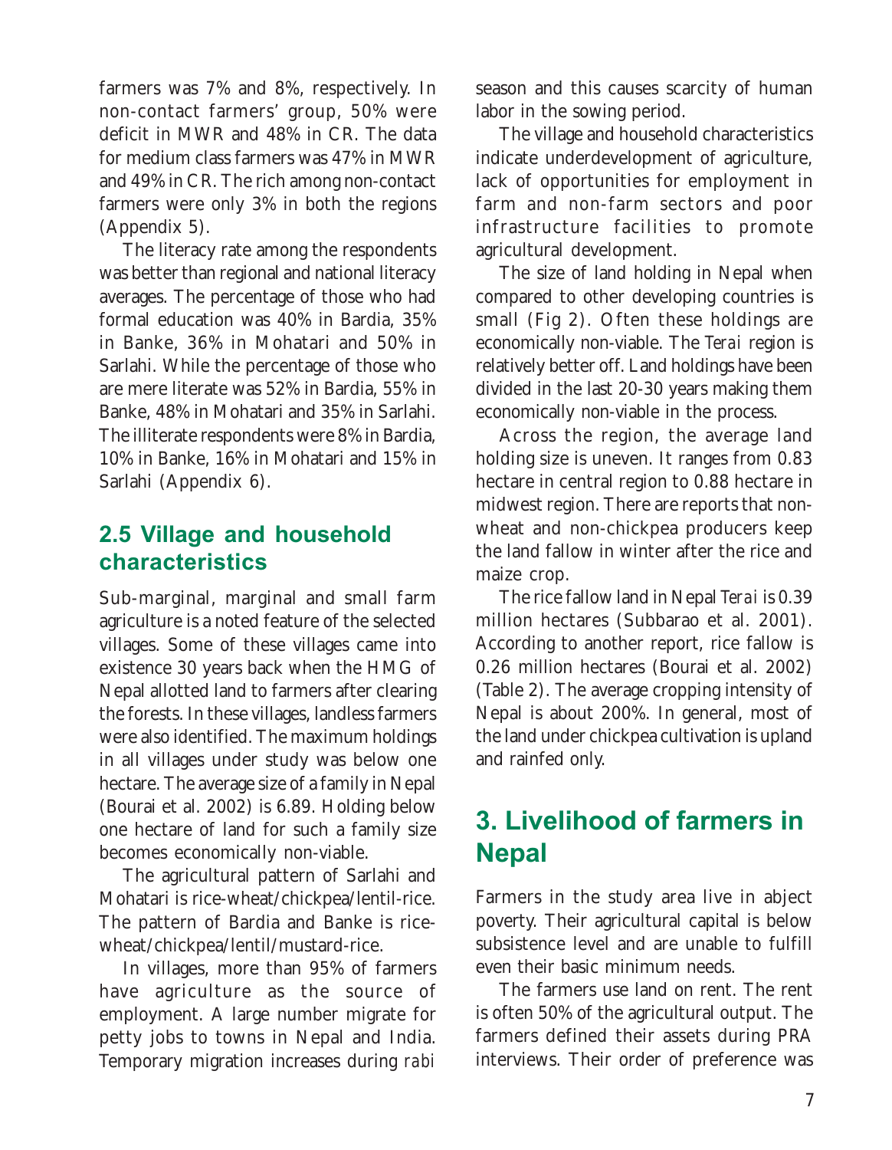farmers was 7% and 8%, respectively. In non-contact farmers' group, 50% were deficit in MWR and 48% in CR. The data for medium class farmers was 47% in MWR and 49% in CR. The rich among non-contact farmers were only 3% in both the regions (Appendix 5).

The literacy rate among the respondents was better than regional and national literacy averages. The percentage of those who had formal education was 40% in Bardia, 35% in Banke, 36% in Mohatari and 50% in Sarlahi. While the percentage of those who are mere literate was 52% in Bardia, 55% in Banke, 48% in Mohatari and 35% in Sarlahi. The illiterate respondents were 8% in Bardia, 10% in Banke, 16% in Mohatari and 15% in Sarlahi (Appendix 6).

### 2.5 Village and household characteristics

Sub-marginal, marginal and small farm agriculture is a noted feature of the selected villages. Some of these villages came into existence 30 years back when the HMG of Nepal allotted land to farmers after clearing the forests. In these villages, landless farmers were also identified. The maximum holdings in all villages under study was below one hectare. The average size of a family in Nepal (Bourai et al. 2002) is 6.89. Holding below one hectare of land for such a family size becomes economically non-viable.

The agricultural pattern of Sarlahi and Mohatari is rice-wheat/chickpea/lentil-rice. The pattern of Bardia and Banke is ricewheat/chickpea/lentil/mustard-rice.

In villages, more than 95% of farmers have agriculture as the source of employment. A large number migrate for petty jobs to towns in Nepal and India. Temporary migration increases during *rabi*

season and this causes scarcity of human labor in the sowing period.

The village and household characteristics indicate underdevelopment of agriculture, lack of opportunities for employment in farm and non-farm sectors and poor infrastructure facilities to promote agricultural development.

The size of land holding in Nepal when compared to other developing countries is small (Fig 2). Often these holdings are economically non-viable. The *Terai* region is relatively better off. Land holdings have been divided in the last 20-30 years making them economically non-viable in the process.

Across the region, the average land holding size is uneven. It ranges from 0.83 hectare in central region to 0.88 hectare in midwest region. There are reports that nonwheat and non-chickpea producers keep the land fallow in winter after the rice and maize crop.

The rice fallow land in Nepal *Terai* is 0.39 million hectares (Subbarao et al. 2001). According to another report, rice fallow is 0.26 million hectares (Bourai et al. 2002) (Table 2). The average cropping intensity of Nepal is about 200%. In general, most of the land under chickpea cultivation is upland and rainfed only.

# 3. Livelihood of farmers in **Nepal**

Farmers in the study area live in abject poverty. Their agricultural capital is below subsistence level and are unable to fulfill even their basic minimum needs.

The farmers use land on rent. The rent is often 50% of the agricultural output. The farmers defined their assets during PRA interviews. Their order of preference was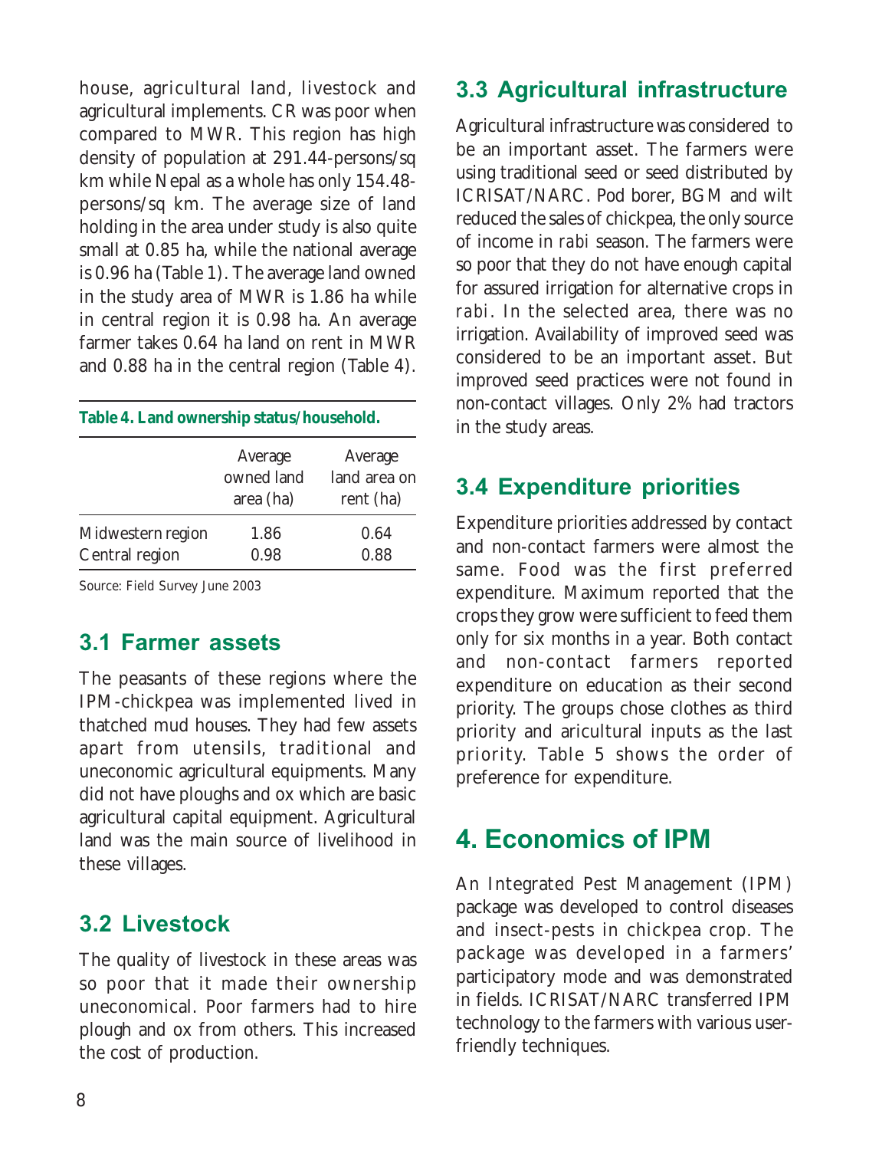house, agricultural land, livestock and agricultural implements. CR was poor when compared to MWR. This region has high density of population at 291.44-persons/sq km while Nepal as a whole has only 154.48 persons/sq km. The average size of land holding in the area under study is also quite small at 0.85 ha, while the national average is 0.96 ha (Table 1). The average land owned in the study area of MWR is 1.86 ha while in central region it is 0.98 ha. An average farmer takes 0.64 ha land on rent in MWR and 0.88 ha in the central region (Table 4).

| Table 4. Land ownership status/household. |                                    |                                      |  |  |  |
|-------------------------------------------|------------------------------------|--------------------------------------|--|--|--|
|                                           | Average<br>owned land<br>area (ha) | Average<br>land area on<br>rent (ha) |  |  |  |
| Midwestern region<br>Central region       | 1.86<br>0.98                       | 0.64<br>0.88                         |  |  |  |

Source: Field Survey June 2003

### 3.1 Farmer assets

The peasants of these regions where the IPM-chickpea was implemented lived in thatched mud houses. They had few assets apart from utensils, traditional and uneconomic agricultural equipments. Many did not have ploughs and ox which are basic agricultural capital equipment. Agricultural land was the main source of livelihood in these villages.

### 3.2 Livestock

The quality of livestock in these areas was so poor that it made their ownership uneconomical. Poor farmers had to hire plough and ox from others. This increased the cost of production.

### 3.3 Agricultural infrastructure

Agricultural infrastructure was considered to be an important asset. The farmers were using traditional seed or seed distributed by ICRISAT/NARC. Pod borer, BGM and wilt reduced the sales of chickpea, the only source of income in *rabi* season. The farmers were so poor that they do not have enough capital for assured irrigation for alternative crops in *rabi*. In the selected area, there was no irrigation. Availability of improved seed was considered to be an important asset. But improved seed practices were not found in non-contact villages. Only 2% had tractors in the study areas.

### 3.4 Expenditure priorities

Expenditure priorities addressed by contact and non-contact farmers were almost the same. Food was the first preferred expenditure. Maximum reported that the crops they grow were sufficient to feed them only for six months in a year. Both contact and non-contact farmers reported expenditure on education as their second priority. The groups chose clothes as third priority and aricultural inputs as the last priority. Table 5 shows the order of preference for expenditure.

# 4. Economics of IPM

An Integrated Pest Management (IPM) package was developed to control diseases and insect-pests in chickpea crop. The package was developed in a farmers' participatory mode and was demonstrated in fields. ICRISAT/NARC transferred IPM technology to the farmers with various userfriendly techniques.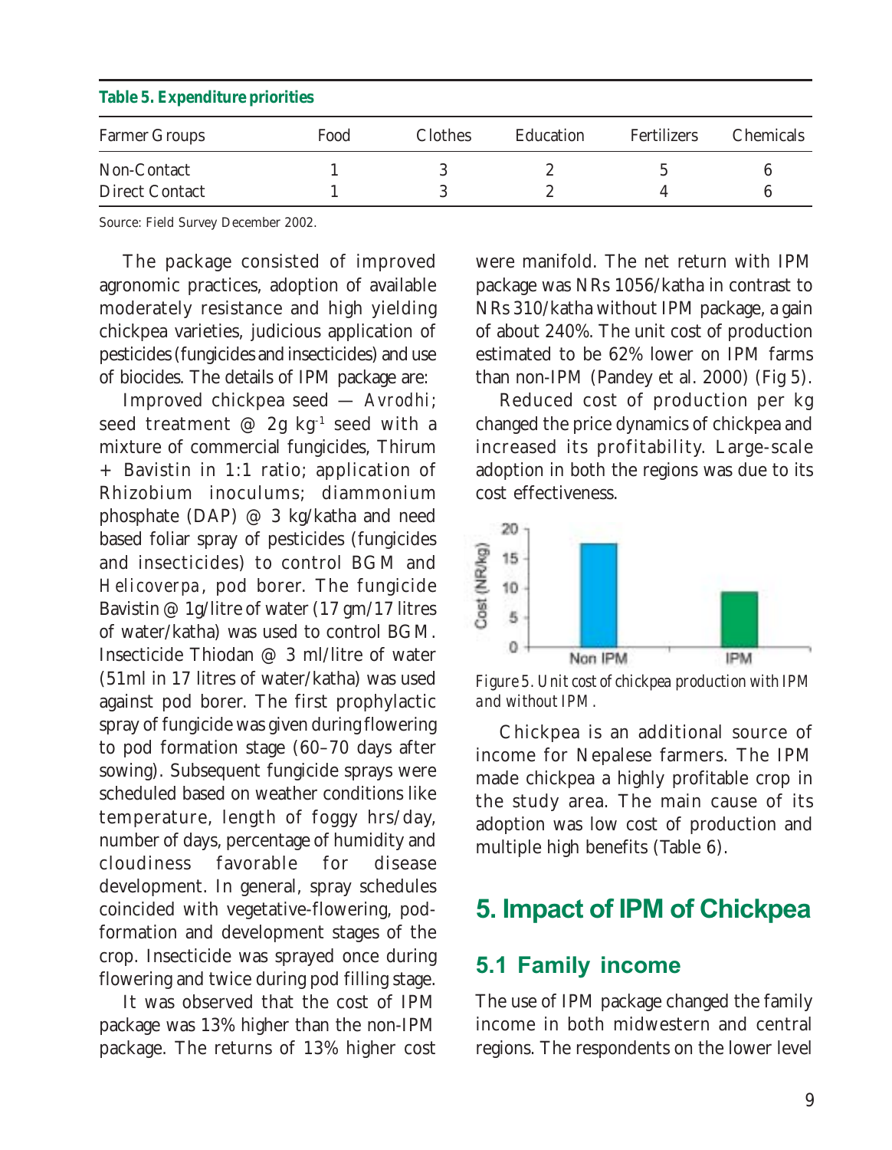| <i>Aubre of Enperience priorities</i> |      |                |           |             |                  |  |  |
|---------------------------------------|------|----------------|-----------|-------------|------------------|--|--|
| <b>Farmer Groups</b>                  | Food | <b>Clothes</b> | Education | Fertilizers | <b>Chemicals</b> |  |  |
| Non-Contact                           |      |                |           |             |                  |  |  |
| <b>Direct Contact</b>                 |      |                |           |             |                  |  |  |

#### **Table 5. Expenditure priorities**

Source: Field Survey December 2002.

The package consisted of improved agronomic practices, adoption of available moderately resistance and high yielding chickpea varieties, judicious application of pesticides (fungicides and insecticides) and use of biocides. The details of IPM package are:

Improved chickpea seed — *Avrodhi*; seed treatment  $\varnothing$  2g kg<sup>-1</sup> seed with a mixture of commercial fungicides, Thirum + Bavistin in 1:1 ratio; application of Rhizobium inoculums; diammonium phosphate (DAP) @ 3 kg/katha and need based foliar spray of pesticides (fungicides and insecticides) to control BGM and *Helicoverpa*, pod borer. The fungicide Bavistin @ 1g/litre of water (17 gm/17 litres of water/katha) was used to control BGM. Insecticide Thiodan @ 3 ml/litre of water (51ml in 17 litres of water/katha) was used against pod borer. The first prophylactic spray of fungicide was given during flowering to pod formation stage (60–70 days after sowing). Subsequent fungicide sprays were scheduled based on weather conditions like temperature, length of foggy hrs/day, number of days, percentage of humidity and cloudiness favorable for disease development. In general, spray schedules coincided with vegetative-flowering, podformation and development stages of the crop. Insecticide was sprayed once during flowering and twice during pod filling stage.

It was observed that the cost of IPM package was 13% higher than the non-IPM package. The returns of 13% higher cost were manifold. The net return with IPM package was NRs 1056/katha in contrast to NRs 310/katha without IPM package, a gain of about 240%. The unit cost of production estimated to be 62% lower on IPM farms than non-IPM (Pandey et al. 2000) (Fig 5).

Reduced cost of production per kg changed the price dynamics of chickpea and increased its profitability. Large-scale adoption in both the regions was due to its cost effectiveness.



*Figure 5. Unit cost of chickpea production with IPM and without IPM.*

Chickpea is an additional source of income for Nepalese farmers. The IPM made chickpea a highly profitable crop in the study area. The main cause of its adoption was low cost of production and multiple high benefits (Table 6).

## 5. Impact of IPM of Chickpea

### 5.1 Family income

The use of IPM package changed the family income in both midwestern and central regions. The respondents on the lower level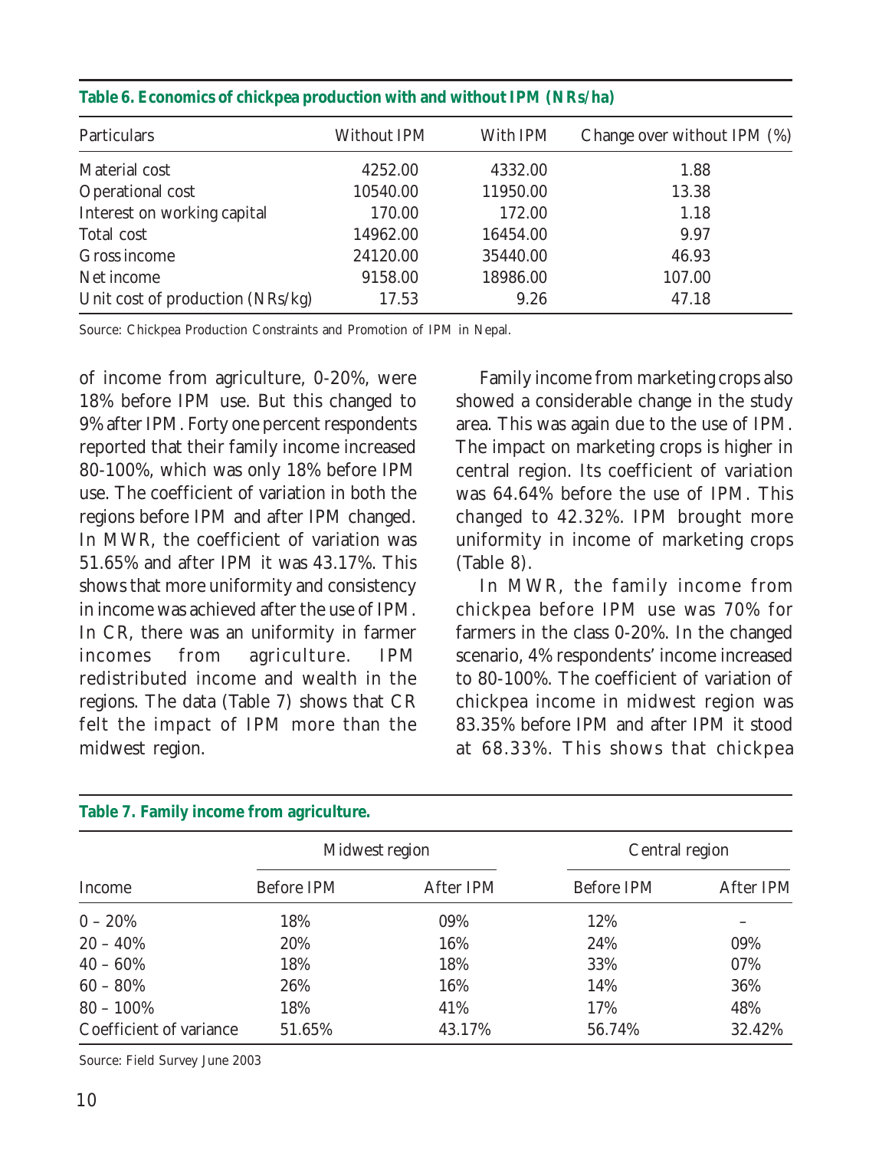| Particulars                      | Without IPM | With IPM | Change over without IPM (%) |
|----------------------------------|-------------|----------|-----------------------------|
| Material cost                    | 4252.00     | 4332.00  | 1.88                        |
| Operational cost                 | 10540.00    | 11950.00 | 13.38                       |
| Interest on working capital      | 170.00      | 172.00   | 1.18                        |
| Total cost                       | 14962.00    | 16454.00 | 9.97                        |
| Gross income                     | 24120.00    | 35440.00 | 46.93                       |
| Net income                       | 9158.00     | 18986.00 | 107.00                      |
| Unit cost of production (NRs/kg) | 17.53       | 9.26     | 47.18                       |

#### **Table 6. Economics of chickpea production with and without IPM (NRs/ha)**

Source: Chickpea Production Constraints and Promotion of IPM in Nepal.

of income from agriculture, 0-20%, were 18% before IPM use. But this changed to 9% after IPM. Forty one percent respondents reported that their family income increased 80-100%, which was only 18% before IPM use. The coefficient of variation in both the regions before IPM and after IPM changed. In MWR, the coefficient of variation was 51.65% and after IPM it was 43.17%. This shows that more uniformity and consistency in income was achieved after the use of IPM. In CR, there was an uniformity in farmer incomes from agriculture. IPM redistributed income and wealth in the regions. The data (Table 7) shows that CR felt the impact of IPM more than the midwest region.

Family income from marketing crops also showed a considerable change in the study area. This was again due to the use of IPM. The impact on marketing crops is higher in central region. Its coefficient of variation was 64.64% before the use of IPM. This changed to 42.32%. IPM brought more uniformity in income of marketing crops (Table 8).

In MWR, the family income from chickpea before IPM use was 70% for farmers in the class 0-20%. In the changed scenario, 4% respondents' income increased to 80-100%. The coefficient of variation of chickpea income in midwest region was 83.35% before IPM and after IPM it stood at 68.33%. This shows that chickpea

| Table 7. Family income from agriculture. |                |           |                |           |  |  |
|------------------------------------------|----------------|-----------|----------------|-----------|--|--|
|                                          | Midwest region |           | Central region |           |  |  |
| Income                                   | Before IPM     | After IPM | Before IPM     | After IPM |  |  |
| $0 - 20%$                                | 18%            | 09%       | 12%            |           |  |  |
| $20 - 40%$                               | 20%            | 16%       | 24%            | 09%       |  |  |
| $40 - 60\%$                              | 18%            | 18%       | 33%            | 07%       |  |  |
| $60 - 80\%$                              | 26%            | 16%       | 14%            | 36%       |  |  |
| $80 - 100\%$                             | 18%            | 41%       | 17%            | 48%       |  |  |
| Coefficient of variance                  | 51.65%         | 43.17%    | 56.74%         | 32.42%    |  |  |

#### **Table 7. Family income from agriculture.**

Source: Field Survey June 2003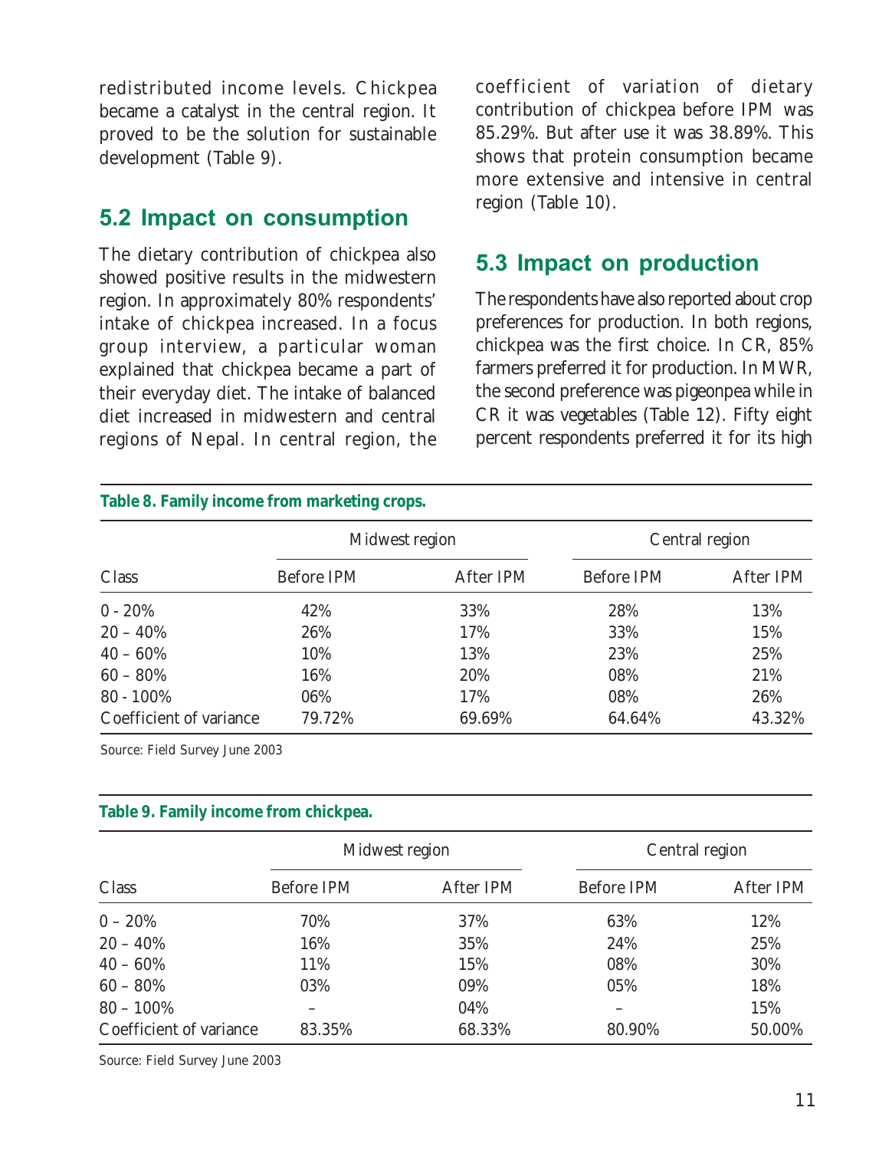redistributed income levels. Chickpea became a catalyst in the central region. It proved to be the solution for sustainable development (Table 9).

### 5.2 Impact on consumption

The dietary contribution of chickpea also showed positive results in the midwestern region. In approximately 80% respondents' intake of chickpea increased. In a focus group interview, a particular woman explained that chickpea became a part of their everyday diet. The intake of balanced diet increased in midwestern and central regions of Nepal. In central region, the

coefficient of variation of dietary contribution of chickpea before IPM was 85.29%. But after use it was 38.89%. This shows that protein consumption became more extensive and intensive in central region (Table 10).

#### 5.3 Impact on production

The respondents have also reported about crop preferences for production. In both regions, chickpea was the first choice. In CR, 85% farmers preferred it for production. In MWR, the second preference was pigeonpea while in CR it was vegetables (Table 12). Fifty eight percent respondents preferred it for its high

| Table 8. Family income from marketing crops. |                |           |                |           |  |  |
|----------------------------------------------|----------------|-----------|----------------|-----------|--|--|
|                                              | Midwest region |           | Central region |           |  |  |
| Class                                        | Before IPM     | After IPM | Before IPM     | After IPM |  |  |
| $0 - 20\%$                                   | 42%            | 33%       | 28%            | 13%       |  |  |
| $20 - 40\%$                                  | 26%            | 17%       | 33%            | 15%       |  |  |
| $40 - 60\%$                                  | 10%            | 13%       | 23%            | 25%       |  |  |
| $60 - 80\%$                                  | 16%            | 20%       | 08%            | 21%       |  |  |
| $80 - 100\%$                                 | 06%            | 17%       | 08%            | 26%       |  |  |
| Coefficient of variance                      | 79.72%         | 69.69%    | 64.64%         | 43.32%    |  |  |

Source: Field Survey June 2003

#### **Table 9. Family income from chickpea.**

|                         | Midwest region |           | Central region |           |
|-------------------------|----------------|-----------|----------------|-----------|
| Class                   | Before IPM     | After IPM | Before IPM     | After IPM |
| $0 - 20\%$              | 70%            | 37%       | 63%            | 12%       |
| $20 - 40\%$             | 16%            | 35%       | 24%            | 25%       |
| $40 - 60\%$             | 11%            | 15%       | 08%            | 30%       |
| $60 - 80\%$             | 03%            | 09%       | 05%            | 18%       |
| $80 - 100\%$            |                | 04%       |                | 15%       |
| Coefficient of variance | 83.35%         | 68.33%    | 80.90%         | 50.00%    |

Source: Field Survey June 2003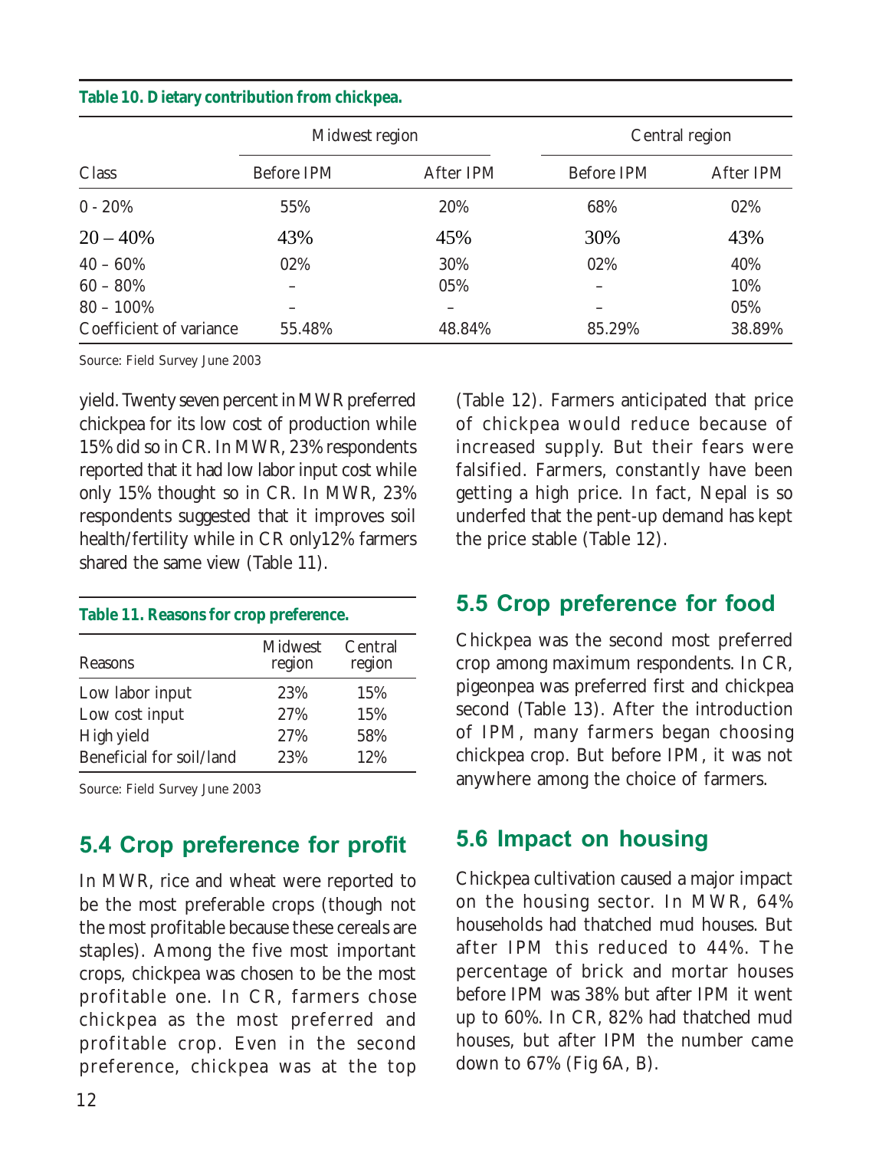|  |  |  |  | Table 10. Dietary contribution from chickpea. |  |  |
|--|--|--|--|-----------------------------------------------|--|--|
|--|--|--|--|-----------------------------------------------|--|--|

|                         | Midwest region |           | Central region |           |
|-------------------------|----------------|-----------|----------------|-----------|
| Class                   | Before IPM     | After IPM | Before IPM     | After IPM |
| $0 - 20%$               | 55%            | 20%       | 68%            | 02%       |
| $20 - 40%$              | 43%            | 45%       | 30%            | 43%       |
| $40 - 60\%$             | 02%            | 30%       | 02%            | 40%       |
| $60 - 80\%$             |                | 05%       |                | 10%       |
| $80 - 100\%$            |                |           |                | 05%       |
| Coefficient of variance | 55.48%         | 48.84%    | 85.29%         | 38.89%    |

Source: Field Survey June 2003

yield. Twenty seven percent in MWR preferred chickpea for its low cost of production while 15% did so in CR. In MWR, 23% respondents reported that it had low labor input cost while only 15% thought so in CR. In MWR, 23% respondents suggested that it improves soil health/fertility while in CR only12% farmers shared the same view (Table 11).

#### **Table 11. Reasons for crop preference.**

| Reasons                  | Midwest<br>region | Central<br>region |
|--------------------------|-------------------|-------------------|
| Low labor input          | 23%               | 15%               |
| Low cost input           | 27%               | 15%               |
| High yield               | 27%               | 58%               |
| Beneficial for soil/land | 23%               | 12%               |

Source: Field Survey June 2003

### 5.4 Crop preference for profit

In MWR, rice and wheat were reported to be the most preferable crops (though not the most profitable because these cereals are staples). Among the five most important crops, chickpea was chosen to be the most profitable one. In CR, farmers chose chickpea as the most preferred and profitable crop. Even in the second preference, chickpea was at the top

(Table 12). Farmers anticipated that price of chickpea would reduce because of increased supply. But their fears were falsified. Farmers, constantly have been getting a high price. In fact, Nepal is so underfed that the pent-up demand has kept the price stable (Table 12).

### 5.5 Crop preference for food

Chickpea was the second most preferred crop among maximum respondents. In CR, pigeonpea was preferred first and chickpea second (Table 13). After the introduction of IPM, many farmers began choosing chickpea crop. But before IPM, it was not anywhere among the choice of farmers.

### 5.6 Impact on housing

Chickpea cultivation caused a major impact on the housing sector. In MWR, 64% households had thatched mud houses. But after IPM this reduced to 44%. The percentage of brick and mortar houses before IPM was 38% but after IPM it went up to 60%. In CR, 82% had thatched mud houses, but after IPM the number came down to 67% (Fig 6A, B).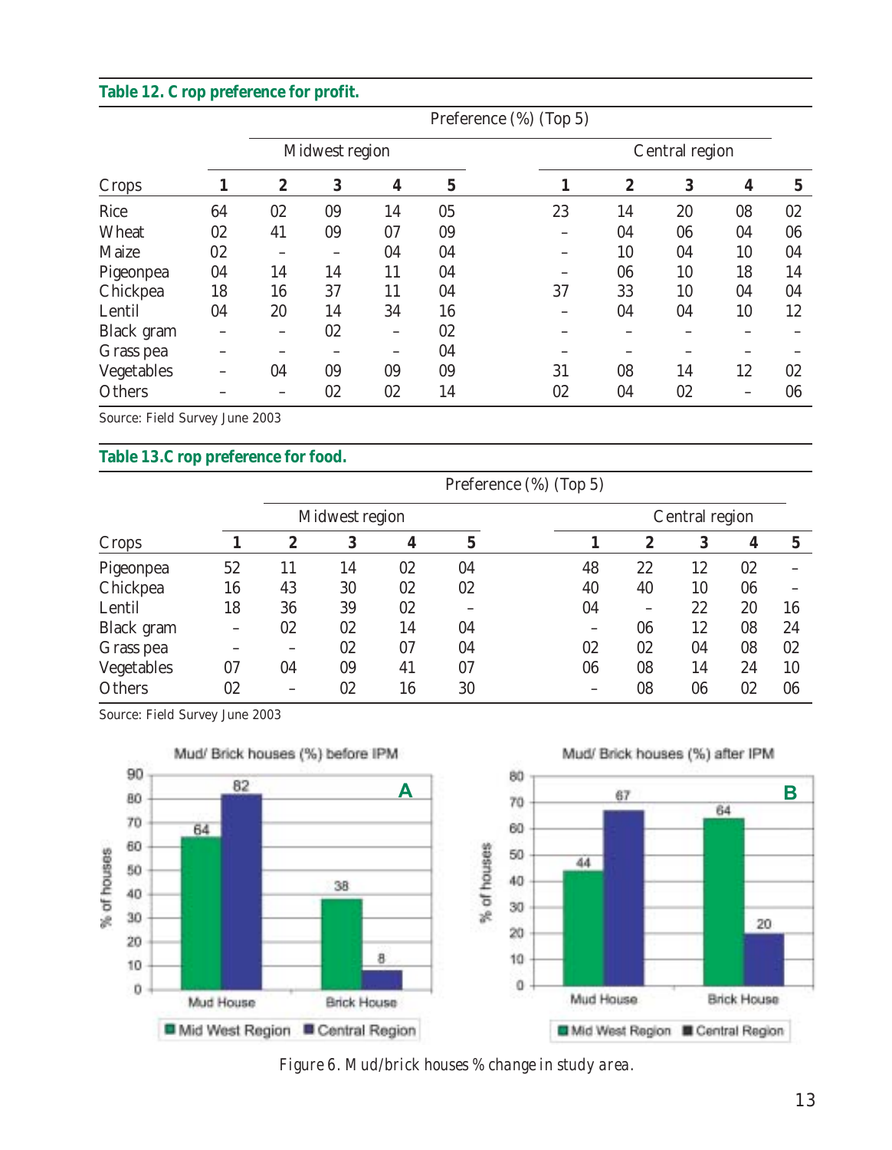#### **Table 12. Crop preference for profit.**

|            |    |    |                |    |             | Preference (%) (Top 5) |                  |                |    |    |
|------------|----|----|----------------|----|-------------|------------------------|------------------|----------------|----|----|
|            |    |    | Midwest region |    |             |                        |                  | Central region |    |    |
| Crops      |    | 2  | 3              | 4  | $\mathbf 5$ |                        | $\boldsymbol{2}$ | 3              | 4  | 5  |
| Rice       | 64 | 02 | 09             | 14 | 05          | 23                     | 14               | 20             | 08 | 02 |
| Wheat      | 02 | 41 | 09             | 07 | 09          |                        | 04               | 06             | 04 | 06 |
| Maize      | 02 |    |                | 04 | 04          |                        | 10               | 04             | 10 | 04 |
| Pigeonpea  | 04 | 14 | 14             | 11 | 04          |                        | 06               | 10             | 18 | 14 |
| Chickpea   | 18 | 16 | 37             | 11 | 04          | 37                     | 33               | 10             | 04 | 04 |
| Lentil     | 04 | 20 | 14             | 34 | 16          |                        | 04               | 04             | 10 | 12 |
| Black gram |    |    | 02             |    | 02          |                        |                  |                |    |    |
| Grass pea  |    |    |                |    | 04          |                        |                  |                |    |    |
| Vegetables |    | 04 | 09             | 09 | 09          | 31                     | 08               | 14             | 12 | 02 |
| Others     |    |    | 02             | 02 | 14          | 02                     | 04               | 02             |    | 06 |

Source: Field Survey June 2003

#### **Table 13.Crop preference for food.**

|            |                 |    |                |    | Preference (%) (Top 5) |    |                  |                |    |    |
|------------|-----------------|----|----------------|----|------------------------|----|------------------|----------------|----|----|
|            |                 |    | Midwest region |    |                        |    |                  | Central region |    |    |
| Crops      |                 | 2  | 3              | 4  | 5                      |    | $\boldsymbol{2}$ | 3              | 4  | 5  |
| Pigeonpea  | 52              | 11 | 14             | 02 | 04                     | 48 | 22               | 12             | 02 |    |
| Chickpea   | 16              | 43 | 30             | 02 | 02                     | 40 | 40               | 10             | 06 |    |
| Lentil     | 18              | 36 | 39             | 02 |                        | 04 | -                | 22             | 20 | 16 |
| Black gram | $\qquad \qquad$ | 02 | 02             | 14 | 04                     |    | 06               | 12             | 08 | 24 |
| Grass pea  |                 |    | 02             | 07 | 04                     | 02 | 02               | 04             | 08 | 02 |
| Vegetables | 07              | 04 | 09             | 41 | 07                     | 06 | 08               | 14             | 24 | 10 |
| Others     | 02              |    | 02             | 16 | 30                     |    | 08               | 06             | 02 | 06 |

Source: Field Survey June 2003



 *Figure 6. Mud/brick houses % change in study area.*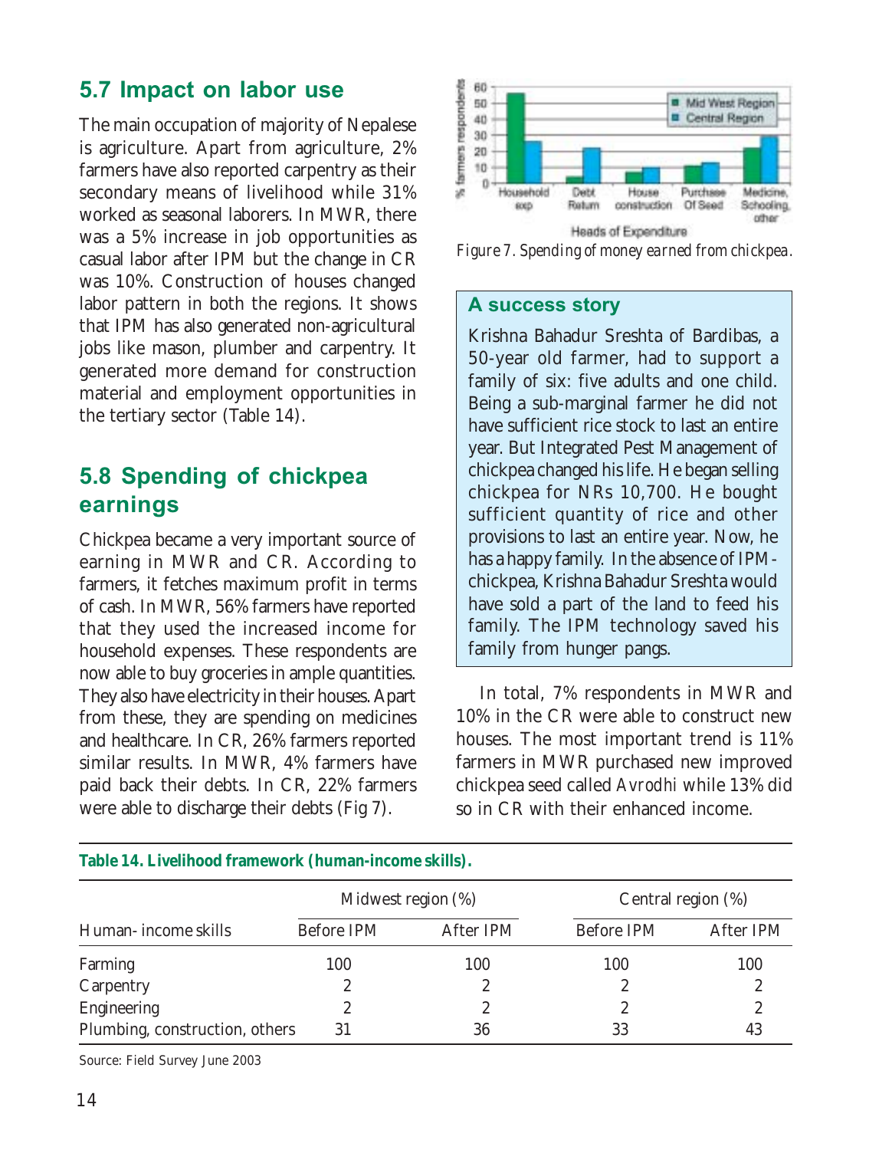### 5.7 Impact on labor use

The main occupation of majority of Nepalese is agriculture. Apart from agriculture, 2% farmers have also reported carpentry as their secondary means of livelihood while 31% worked as seasonal laborers. In MWR, there was a 5% increase in job opportunities as casual labor after IPM but the change in CR was 10%. Construction of houses changed labor pattern in both the regions. It shows that IPM has also generated non-agricultural jobs like mason, plumber and carpentry. It generated more demand for construction material and employment opportunities in the tertiary sector (Table 14).

### 5.8 Spending of chickpea earnings

Chickpea became a very important source of earning in MWR and CR. According to farmers, it fetches maximum profit in terms of cash. In MWR, 56% farmers have reported that they used the increased income for household expenses. These respondents are now able to buy groceries in ample quantities. They also have electricity in their houses. Apart from these, they are spending on medicines and healthcare. In CR, 26% farmers reported similar results. In MWR, 4% farmers have paid back their debts. In CR, 22% farmers were able to discharge their debts (Fig 7).



*Figure 7. Spending of money earned from chickpea.*

#### A success story

Krishna Bahadur Sreshta of Bardibas, a 50-year old farmer, had to support a family of six: five adults and one child. Being a sub-marginal farmer he did not have sufficient rice stock to last an entire year. But Integrated Pest Management of chickpea changed his life. He began selling chickpea for NRs 10,700. He bought sufficient quantity of rice and other provisions to last an entire year. Now, he has a happy family. In the absence of IPMchickpea, Krishna Bahadur Sreshta would have sold a part of the land to feed his family. The IPM technology saved his family from hunger pangs.

In total, 7% respondents in MWR and 10% in the CR were able to construct new houses. The most important trend is 11% farmers in MWR purchased new improved chickpea seed called *Avrodhi* while 13% did so in CR with their enhanced income.

| Table 14. Livelihood framework (human-income skills). |                    |           |                    |           |  |  |  |
|-------------------------------------------------------|--------------------|-----------|--------------------|-----------|--|--|--|
|                                                       | Midwest region (%) |           | Central region (%) |           |  |  |  |
| Human- income skills                                  | Before IPM         | After IPM | Before IPM         | After IPM |  |  |  |
| Farming                                               | 100                | 100       | 100                | 100       |  |  |  |
| Carpentry                                             | 2                  | 2         |                    |           |  |  |  |
| Engineering                                           |                    |           |                    |           |  |  |  |
| Plumbing, construction, others                        | 31                 | 36        | 33                 | 43        |  |  |  |

Source: Field Survey June 2003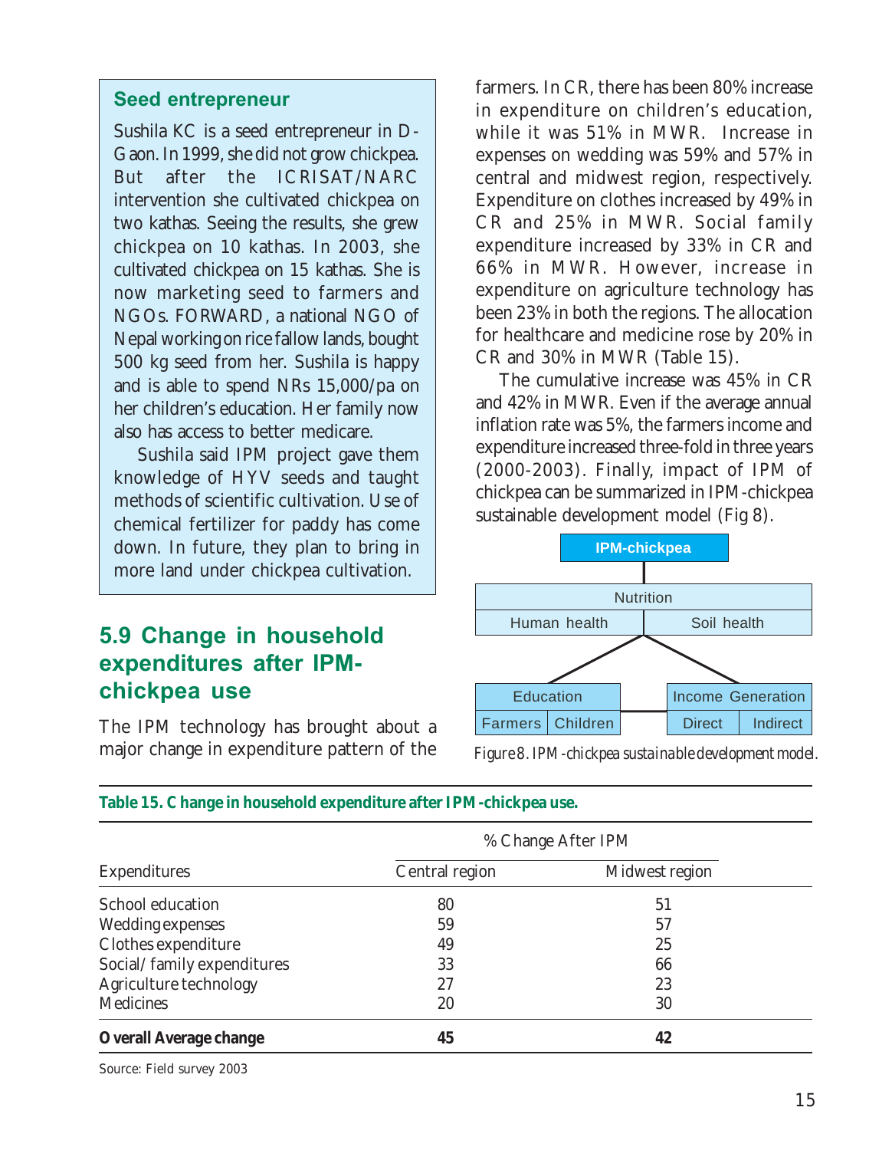#### Seed entrepreneur

Sushila KC is a seed entrepreneur in D-Gaon. In 1999, she did not grow chickpea. But after the ICRISAT/NARC intervention she cultivated chickpea on two kathas. Seeing the results, she grew chickpea on 10 kathas. In 2003, she cultivated chickpea on 15 kathas. She is now marketing seed to farmers and NGOs. FORWARD, a national NGO of Nepal working on rice fallow lands, bought 500 kg seed from her. Sushila is happy and is able to spend NRs 15,000/pa on her children's education. Her family now also has access to better medicare.

Sushila said IPM project gave them knowledge of HYV seeds and taught methods of scientific cultivation. Use of chemical fertilizer for paddy has come down. In future, they plan to bring in more land under chickpea cultivation.

### 5.9 Change in household expenditures after IPMchickpea use

The IPM technology has brought about a major change in expenditure pattern of the

farmers. In CR, there has been 80% increase in expenditure on children's education, while it was 51% in MWR. Increase in expenses on wedding was 59% and 57% in central and midwest region, respectively. Expenditure on clothes increased by 49% in CR and 25% in MWR. Social family expenditure increased by 33% in CR and 66% in MWR. However, increase in expenditure on agriculture technology has been 23% in both the regions. The allocation for healthcare and medicine rose by 20% in CR and 30% in MWR (Table 15).

The cumulative increase was 45% in CR and 42% in MWR. Even if the average annual inflation rate was 5%, the farmers income and expenditure increased three-fold in three years (2000-2003). Finally, impact of IPM of chickpea can be summarized in IPM-chickpea sustainable development model (Fig 8).



*Figure 8. IPM-chickpea sustainable development model.*

|                                        | % Change After IPM |                |  |  |  |
|----------------------------------------|--------------------|----------------|--|--|--|
| <b>Expenditures</b>                    | Central region     | Midwest region |  |  |  |
| School education                       | 80                 | 51             |  |  |  |
| Wedding expenses                       | 59                 | 57             |  |  |  |
| Clothes expenditure                    | 49                 | 25             |  |  |  |
| Social/family expenditures             | 33                 | 66             |  |  |  |
| Agriculture technology                 | 27                 | 23             |  |  |  |
| Medicines                              | 20                 | 30             |  |  |  |
| <b>Overall Average change</b>          | 45                 | 42             |  |  |  |
| $C_{\text{OUPCO}}$ , Field curvey 2002 |                    |                |  |  |  |

#### **Table 15. Change in household expenditure after IPM-chickpea use.**

Source: Field survey 2003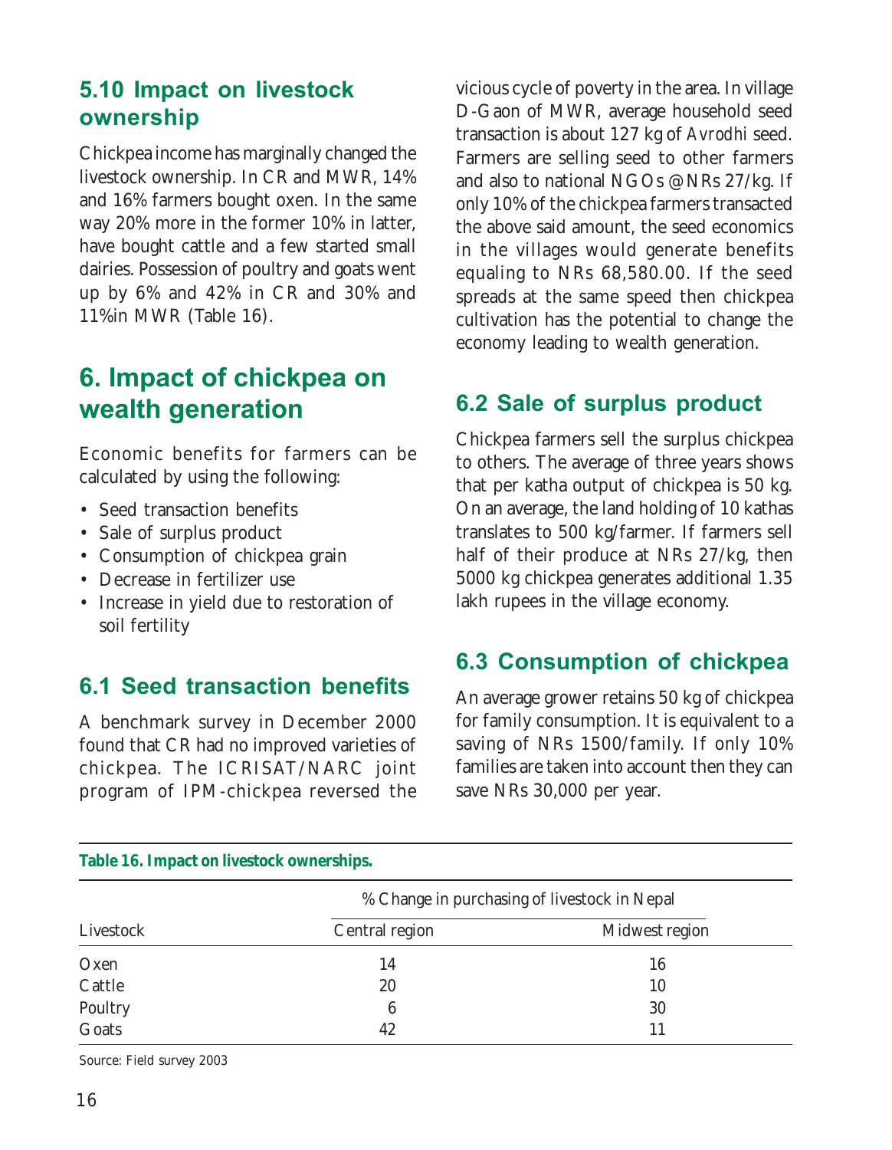### 5.10 Impact on livestock ownership

Chickpea income has marginally changed the livestock ownership. In CR and MWR, 14% and 16% farmers bought oxen. In the same way 20% more in the former 10% in latter, have bought cattle and a few started small dairies. Possession of poultry and goats went up by 6% and 42% in CR and 30% and 11%in MWR (Table 16).

# 6. Impact of chickpea on wealth generation

Economic benefits for farmers can be calculated by using the following:

- Seed transaction benefits
- Sale of surplus product
- Consumption of chickpea grain
- Decrease in fertilizer use
- Increase in yield due to restoration of soil fertility

### 6.1 Seed transaction benefits

A benchmark survey in December 2000 found that CR had no improved varieties of chickpea. The ICRISAT/NARC joint program of IPM-chickpea reversed the

vicious cycle of poverty in the area. In village D-Gaon of MWR, average household seed transaction is about 127 kg of *Avrodhi* seed. Farmers are selling seed to other farmers and also to national NGOs @NRs 27/kg. If only 10% of the chickpea farmers transacted the above said amount, the seed economics in the villages would generate benefits equaling to NRs 68,580.00. If the seed spreads at the same speed then chickpea cultivation has the potential to change the economy leading to wealth generation.

### 6.2 Sale of surplus product

Chickpea farmers sell the surplus chickpea to others. The average of three years shows that per katha output of chickpea is 50 kg. On an average, the land holding of 10 kathas translates to 500 kg/farmer. If farmers sell half of their produce at NRs 27/kg, then 5000 kg chickpea generates additional 1.35 lakh rupees in the village economy.

### 6.3 Consumption of chickpea

An average grower retains 50 kg of chickpea for family consumption. It is equivalent to a saving of NRs 1500/family. If only 10% families are taken into account then they can save NRs 30,000 per year.

| Table 16. Impact on livestock ownerships. |                                              |                |  |  |  |
|-------------------------------------------|----------------------------------------------|----------------|--|--|--|
|                                           | % Change in purchasing of livestock in Nepal |                |  |  |  |
| Livestock                                 | Central region                               | Midwest region |  |  |  |
| Oxen                                      | 14                                           | 16             |  |  |  |
| Cattle                                    | 20                                           | 10             |  |  |  |
| Poultry                                   | 6                                            | 30             |  |  |  |
| Goats                                     | 42                                           |                |  |  |  |

Source: Field survey 2003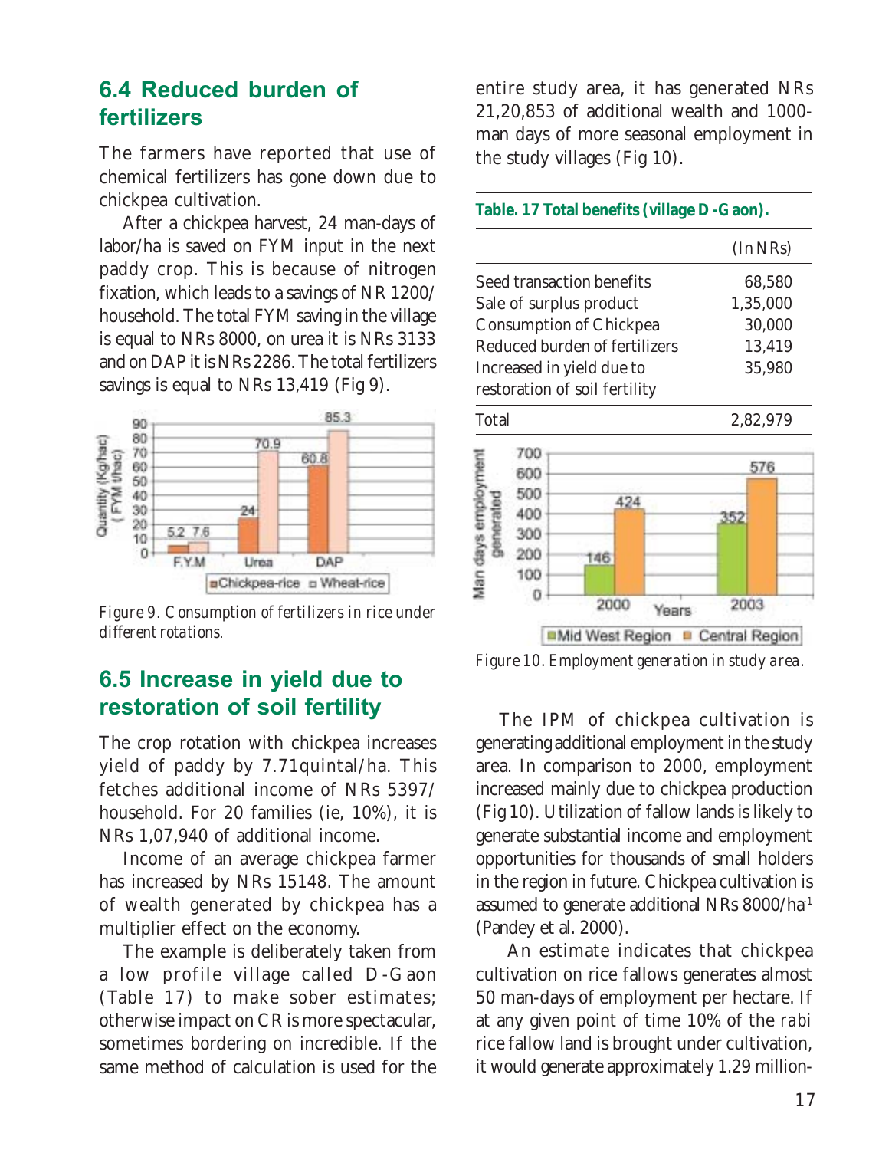### 6.4 Reduced burden of fertilizers

The farmers have reported that use of chemical fertilizers has gone down due to chickpea cultivation.

After a chickpea harvest, 24 man-days of labor/ha is saved on FYM input in the next paddy crop. This is because of nitrogen fixation, which leads to a savings of NR 1200/ household. The total FYM saving in the village is equal to NRs 8000, on urea it is NRs 3133 and on DAP it is NRs 2286. The total fertilizers savings is equal to NRs 13,419 (Fig 9).



*Figure 9. Consumption of fertilizers in rice under different rotations.*

### 6.5 Increase in yield due to restoration of soil fertility

The crop rotation with chickpea increases yield of paddy by 7.71quintal/ha. This fetches additional income of NRs 5397/ household. For 20 families (ie, 10%), it is NRs 1,07,940 of additional income.

Income of an average chickpea farmer has increased by NRs 15148. The amount of wealth generated by chickpea has a multiplier effect on the economy.

The example is deliberately taken from a low profile village called D-Gaon (Table 17) to make sober estimates; otherwise impact on CR is more spectacular, sometimes bordering on incredible. If the same method of calculation is used for the

entire study area, it has generated NRs 21,20,853 of additional wealth and 1000 man days of more seasonal employment in the study villages (Fig 10).

#### **Table. 17 Total benefits (village D-Gaon).**

|                               | (In NRs) |  |  |
|-------------------------------|----------|--|--|
| Seed transaction benefits     | 68.580   |  |  |
| Sale of surplus product       | 1,35,000 |  |  |
| Consumption of Chickpea       | 30,000   |  |  |
| Reduced burden of fertilizers | 13.419   |  |  |
| Increased in yield due to     | 35.980   |  |  |
| restoration of soil fertility |          |  |  |
| Total                         | 2.82.979 |  |  |
| 9D O                          |          |  |  |
|                               |          |  |  |



*Figure 10. Employment generation in study area.*

The IPM of chickpea cultivation is generating additional employment in the study area. In comparison to 2000, employment increased mainly due to chickpea production (Fig 10). Utilization of fallow lands is likely to generate substantial income and employment opportunities for thousands of small holders in the region in future. Chickpea cultivation is assumed to generate additional NRs 8000/ha-1 (Pandey et al. 2000).

 An estimate indicates that chickpea cultivation on rice fallows generates almost 50 man-days of employment per hectare. If at any given point of time 10% of the *rabi* rice fallow land is brought under cultivation, it would generate approximately 1.29 million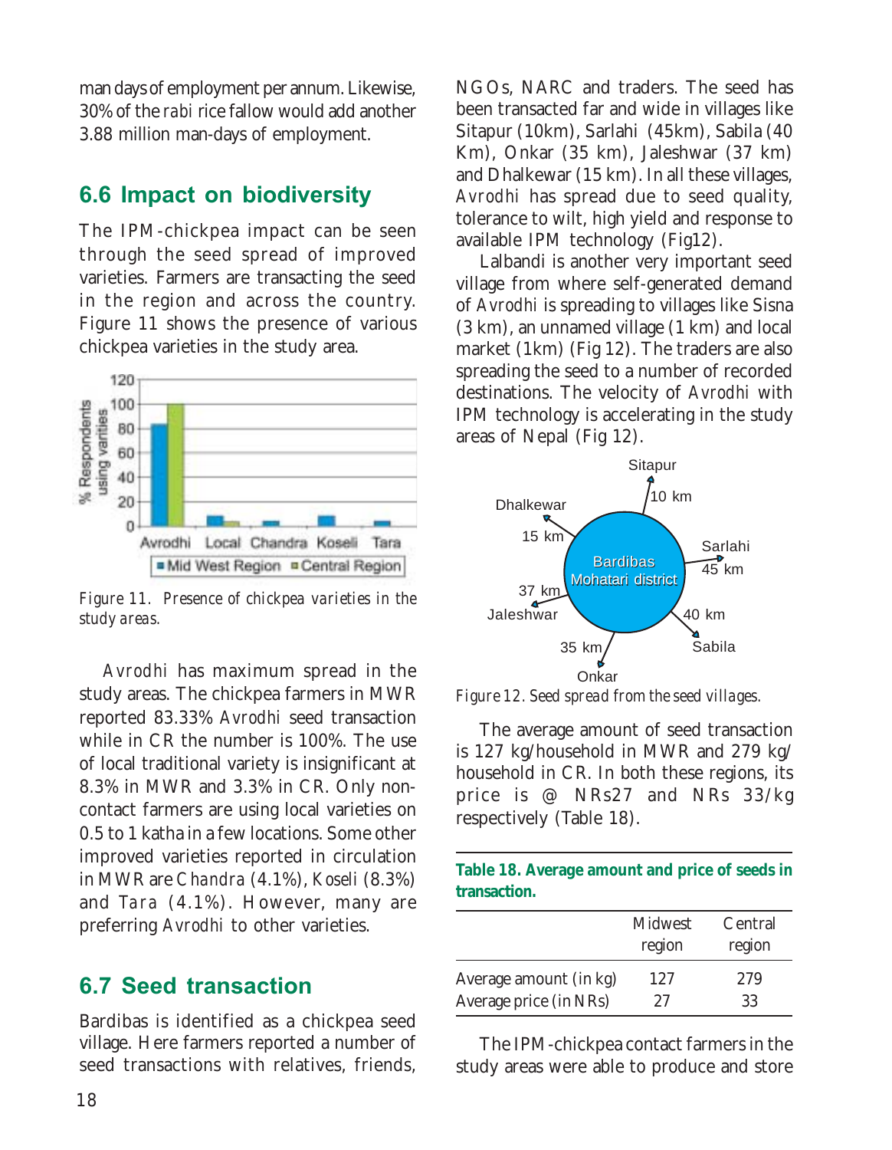man days of employment per annum. Likewise, 30% of the *rabi* rice fallow would add another 3.88 million man-days of employment.

### 6.6 Impact on biodiversity

The IPM-chickpea impact can be seen through the seed spread of improved varieties. Farmers are transacting the seed in the region and across the country. Figure 11 shows the presence of various chickpea varieties in the study area.



*Figure 11. Presence of chickpea varieties in the study areas.*

*Avrodhi* has maximum spread in the study areas. The chickpea farmers in MWR reported 83.33% *Avrodhi* seed transaction while in CR the number is 100%. The use of local traditional variety is insignificant at 8.3% in MWR and 3.3% in CR. Only noncontact farmers are using local varieties on 0.5 to 1 katha in a few locations. Some other improved varieties reported in circulation in MWR are *Chandra* (4.1%), *Koseli* (8.3%) and *Tara* (4.1%). However, many are preferring *Avrodhi* to other varieties.

### 6.7 Seed transaction

Bardibas is identified as a chickpea seed village. Here farmers reported a number of seed transactions with relatives, friends,

NGOs, NARC and traders. The seed has been transacted far and wide in villages like Sitapur (10km), Sarlahi (45km), Sabila (40 Km), Onkar (35 km), Jaleshwar (37 km) and Dhalkewar (15 km). In all these villages, *Avrodhi* has spread due to seed quality, tolerance to wilt, high yield and response to available IPM technology (Fig12).

Lalbandi is another very important seed village from where self-generated demand of *Avrodhi* is spreading to villages like Sisna (3 km), an unnamed village (1 km) and local market (1km) (Fig 12). The traders are also spreading the seed to a number of recorded destinations. The velocity of *Avrodhi* with IPM technology is accelerating in the study areas of Nepal (Fig 12).



*Figure 12. Seed spread from the seed villages.*

The average amount of seed transaction is 127 kg/household in MWR and 279 kg/ household in CR. In both these regions, its price is @ NRs27 and NRs 33/kg respectively (Table 18).

| Table 18. Average amount and price of seeds in |  |  |
|------------------------------------------------|--|--|
| transaction.                                   |  |  |

|                        | <b>Midwest</b><br>region | Central<br>region |
|------------------------|--------------------------|-------------------|
| Average amount (in kg) | 127                      | 279               |
| Average price (in NRs) | 27                       | 33                |

The IPM-chickpea contact farmers in the study areas were able to produce and store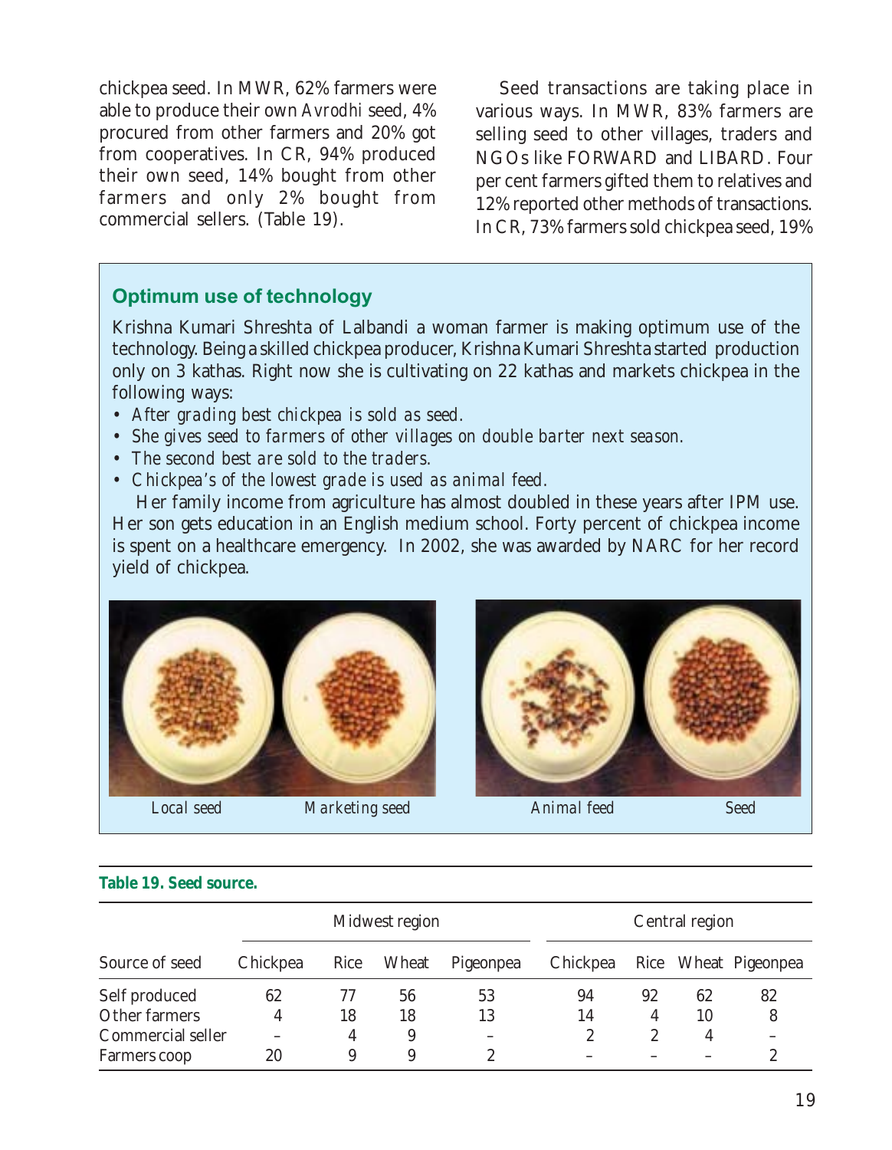chickpea seed. In MWR, 62% farmers were able to produce their own *Avrodhi* seed, 4% procured from other farmers and 20% got from cooperatives. In CR, 94% produced their own seed, 14% bought from other farmers and only 2% bought from commercial sellers. (Table 19).

Seed transactions are taking place in various ways. In MWR, 83% farmers are selling seed to other villages, traders and NGOs like FORWARD and LIBARD. Four per cent farmers gifted them to relatives and 12% reported other methods of transactions. In CR, 73% farmers sold chickpea seed, 19%

#### Optimum use of technology

Krishna Kumari Shreshta of Lalbandi a woman farmer is making optimum use of the technology. Being a skilled chickpea producer, Krishna Kumari Shreshta started production only on 3 kathas. Right now she is cultivating on 22 kathas and markets chickpea in the following ways:

- *After grading best chickpea is sold as seed.*
- *She gives seed to farmers of other villages on double barter next season.*
- *The second best are sold to the traders.*
- *Chickpea's of the lowest grade is used as animal feed.*

Her family income from agriculture has almost doubled in these years after IPM use. Her son gets education in an English medium school. Forty percent of chickpea income is spent on a healthcare emergency. In 2002, she was awarded by NARC for her record yield of chickpea.





#### **Table 19. Seed source.**

|                   | Midwest region |      |       | Central region |          |    |    |                      |
|-------------------|----------------|------|-------|----------------|----------|----|----|----------------------|
| Source of seed    | Chickpea       | Rice | Wheat | Pigeonpea      | Chickpea |    |    | Rice Wheat Pigeonpea |
| Self produced     | 62             | 77   | 56    | 53             | 94       | 92 | 62 | 82                   |
| Other farmers     | 4              | 18   | 18    | 13             | 14       | 4  | 10 | 8                    |
| Commercial seller |                | 4    | 9     |                | 2        | 2  | 4  |                      |
| Farmers coop      | 20             | 9    | 9     | 9              |          |    |    | 9                    |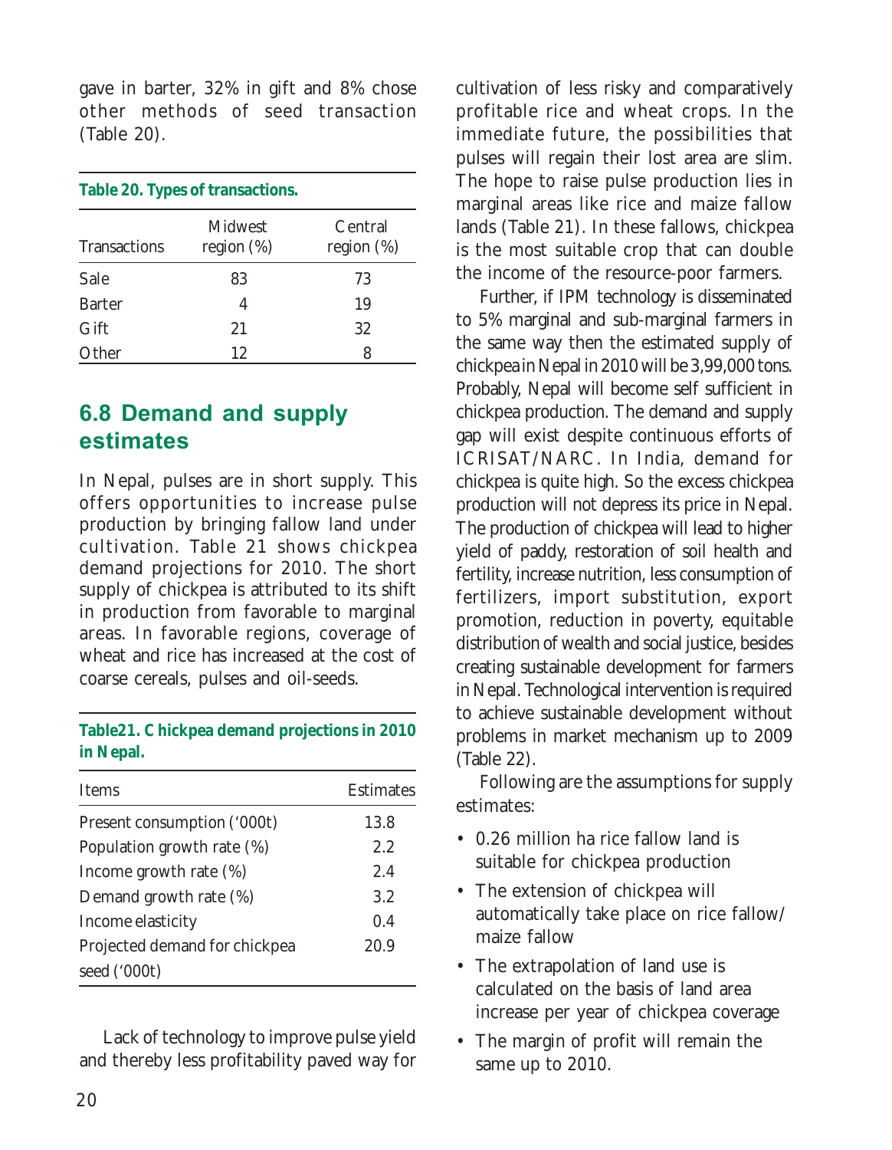gave in barter, 32% in gift and 8% chose other methods of seed transaction (Table 20).

| Table 20. Types of transactions. |                                 |                          |  |  |  |
|----------------------------------|---------------------------------|--------------------------|--|--|--|
| <b>Transactions</b>              | <b>Midwest</b><br>region $(\%)$ | Central<br>region $(\%)$ |  |  |  |
| <b>Sale</b>                      | 83                              | 73                       |  |  |  |
| <b>Barter</b>                    | 4                               | 19                       |  |  |  |
| Gift                             | 21                              | 32                       |  |  |  |
| Other                            | 12                              |                          |  |  |  |

### 6.8 Demand and supply estimates

In Nepal, pulses are in short supply. This offers opportunities to increase pulse production by bringing fallow land under cultivation. Table 21 shows chickpea demand projections for 2010. The short supply of chickpea is attributed to its shift in production from favorable to marginal areas. In favorable regions, coverage of wheat and rice has increased at the cost of coarse cereals, pulses and oil-seeds.

**Table21. Chickpea demand projections in 2010 in Nepal.**

| <b>Items</b>                  | <b>Estimates</b> |
|-------------------------------|------------------|
| Present consumption ('000t)   | 13.8             |
| Population growth rate (%)    | $2.2\,$          |
| Income growth rate (%)        | 2.4              |
| Demand growth rate (%)        | 3.2              |
| Income elasticity             | 0.4              |
| Projected demand for chickpea | 20.9             |
| seed ('000t)                  |                  |

Lack of technology to improve pulse yield and thereby less profitability paved way for

cultivation of less risky and comparatively profitable rice and wheat crops. In the immediate future, the possibilities that pulses will regain their lost area are slim. The hope to raise pulse production lies in marginal areas like rice and maize fallow lands (Table 21). In these fallows, chickpea is the most suitable crop that can double the income of the resource-poor farmers.

Further, if IPM technology is disseminated to 5% marginal and sub-marginal farmers in the same way then the estimated supply of chickpea in Nepal in 2010 will be 3,99,000 tons. Probably, Nepal will become self sufficient in chickpea production. The demand and supply gap will exist despite continuous efforts of ICRISAT/NARC. In India, demand for chickpea is quite high. So the excess chickpea production will not depress its price in Nepal. The production of chickpea will lead to higher yield of paddy, restoration of soil health and fertility, increase nutrition, less consumption of fertilizers, import substitution, export promotion, reduction in poverty, equitable distribution of wealth and social justice, besides creating sustainable development for farmers in Nepal. Technological intervention is required to achieve sustainable development without problems in market mechanism up to 2009 (Table 22).

Following are the assumptions for supply estimates:

- 0.26 million ha rice fallow land is suitable for chickpea production
- The extension of chickpea will automatically take place on rice fallow/ maize fallow
- The extrapolation of land use is calculated on the basis of land area increase per year of chickpea coverage
- The margin of profit will remain the same up to 2010.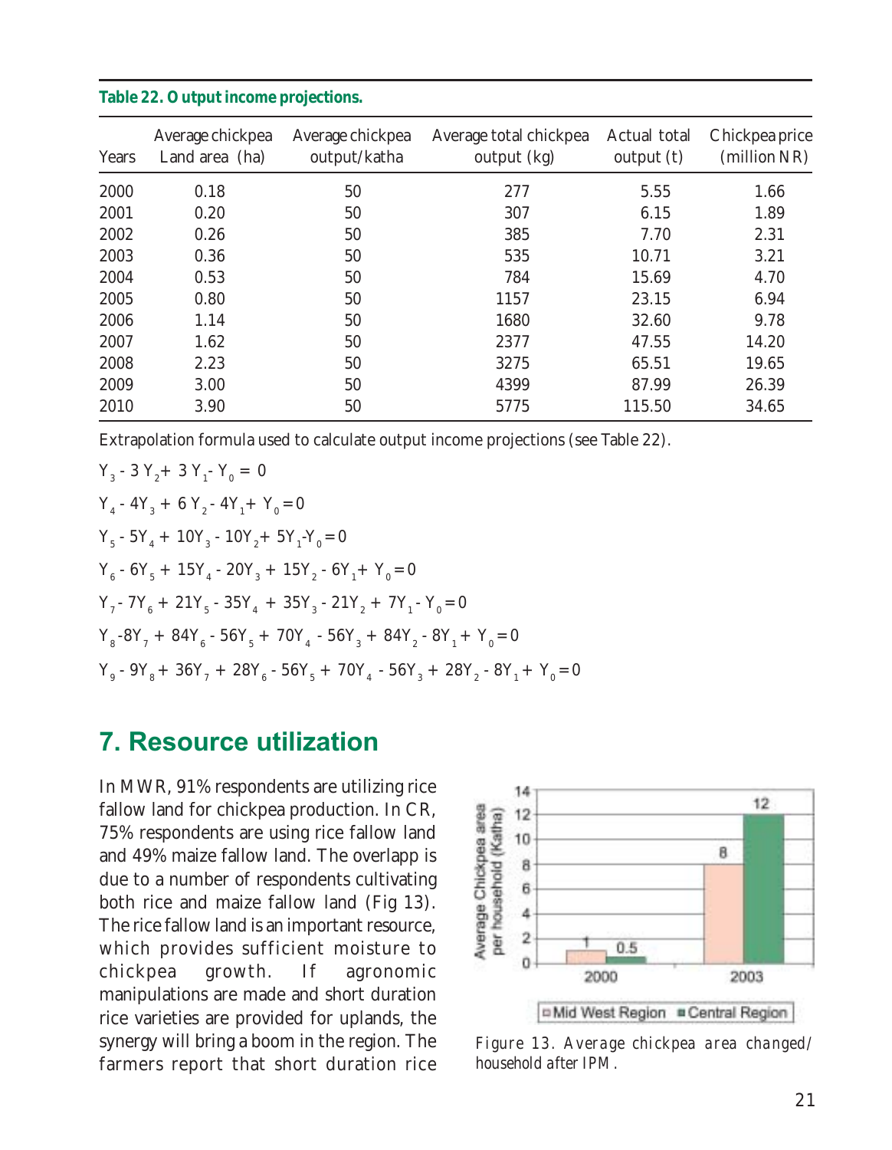| Years | Average chickpea<br>Land area (ha) | Average chickpea<br>output/katha | Average total chickpea<br>output (kg) | Actual total<br>output (t) | Chickpea price<br>(million NR) |
|-------|------------------------------------|----------------------------------|---------------------------------------|----------------------------|--------------------------------|
| 2000  | 0.18                               | 50                               | 277                                   | 5.55                       | 1.66                           |
| 2001  | 0.20                               | 50                               | 307                                   | 6.15                       | 1.89                           |
| 2002  | 0.26                               | 50                               | 385                                   | 7.70                       | 2.31                           |
| 2003  | 0.36                               | 50                               | 535                                   | 10.71                      | 3.21                           |
| 2004  | 0.53                               | 50                               | 784                                   | 15.69                      | 4.70                           |
| 2005  | 0.80                               | 50                               | 1157                                  | 23.15                      | 6.94                           |
| 2006  | 1.14                               | 50                               | 1680                                  | 32.60                      | 9.78                           |
| 2007  | 1.62                               | 50                               | 2377                                  | 47.55                      | 14.20                          |
| 2008  | 2.23                               | 50                               | 3275                                  | 65.51                      | 19.65                          |
| 2009  | 3.00                               | 50                               | 4399                                  | 87.99                      | 26.39                          |
| 2010  | 3.90                               | 50                               | 5775                                  | 115.50                     | 34.65                          |

#### **Table 22. Output income projections.**

Extrapolation formula used to calculate output income projections (see Table 22).

 $Y_3 - 3 Y_2 + 3 Y_1 - Y_0 = 0$  $Y_4 - 4Y_3 + 6Y_2 - 4Y_1 + Y_0 = 0$  $Y_5 - 5Y_4 + 10Y_3 - 10Y_2 + 5Y_1 - Y_0 = 0$  $Y_6 - 6Y_5 + 15Y_4 - 20Y_3 + 15Y_2 - 6Y_1 + Y_0 = 0$  $Y_7$  -  $7Y_6 + 21Y_5 - 35Y_4 + 35Y_3 - 21Y_2 + 7Y_1 - Y_0 = 0$  $Y_8$ -8Y<sub>7</sub> + 84Y<sub>6</sub> - 56Y<sub>5</sub> + 70Y<sub>4</sub> - 56Y<sub>3</sub> + 84Y<sub>2</sub> - 8Y<sub>1</sub> + Y<sub>0</sub> = 0  $Y_g - 9Y_g + 36Y_7 + 28Y_6 - 56Y_5 + 70Y_4 - 56Y_3 + 28Y_2 - 8Y_1 + Y_0 = 0$ 

### 7. Resource utilization

In MWR, 91% respondents are utilizing rice fallow land for chickpea production. In CR, 75% respondents are using rice fallow land and 49% maize fallow land. The overlapp is due to a number of respondents cultivating both rice and maize fallow land (Fig 13). The rice fallow land is an important resource, which provides sufficient moisture to chickpea growth. If agronomic manipulations are made and short duration rice varieties are provided for uplands, the synergy will bring a boom in the region. The farmers report that short duration rice



*Figure 13. Average chickpea area changed/ household after IPM.*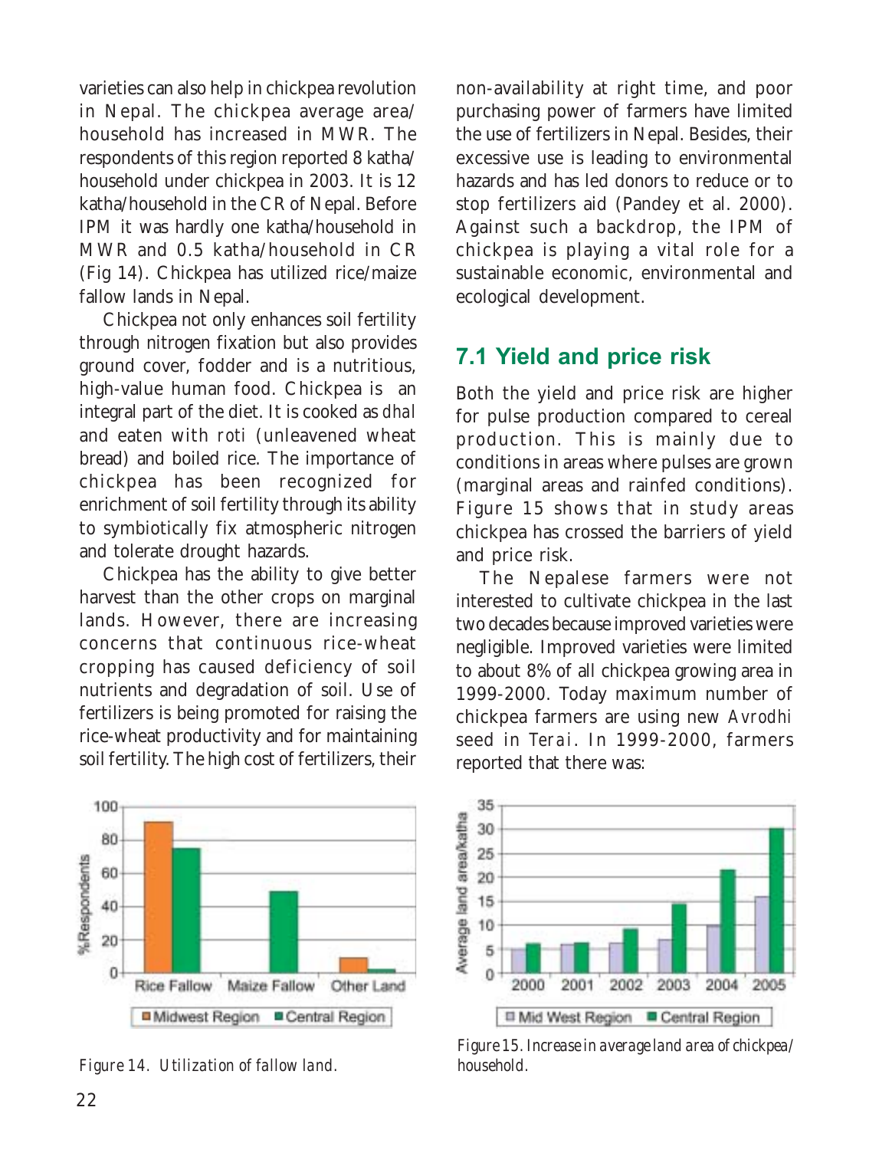varieties can also help in chickpea revolution in Nepal. The chickpea average area/ household has increased in MWR. The respondents of this region reported 8 katha/ household under chickpea in 2003. It is 12 katha/household in the CR of Nepal. Before IPM it was hardly one katha/household in MWR and 0.5 katha/household in CR (Fig 14). Chickpea has utilized rice/maize fallow lands in Nepal.

Chickpea not only enhances soil fertility through nitrogen fixation but also provides ground cover, fodder and is a nutritious, high-value human food. Chickpea is an integral part of the diet. It is cooked as *dhal* and eaten with *roti* (unleavened wheat bread) and boiled rice. The importance of chickpea has been recognized for enrichment of soil fertility through its ability to symbiotically fix atmospheric nitrogen and tolerate drought hazards.

Chickpea has the ability to give better harvest than the other crops on marginal lands. However, there are increasing concerns that continuous rice-wheat cropping has caused deficiency of soil nutrients and degradation of soil. Use of fertilizers is being promoted for raising the rice-wheat productivity and for maintaining soil fertility. The high cost of fertilizers, their



*Figure 14. Utilization of fallow land. household.*

non-availability at right time, and poor purchasing power of farmers have limited the use of fertilizers in Nepal. Besides, their excessive use is leading to environmental hazards and has led donors to reduce or to stop fertilizers aid (Pandey et al. 2000). Against such a backdrop, the IPM of chickpea is playing a vital role for a sustainable economic, environmental and ecological development.

### 7.1 Yield and price risk

Both the yield and price risk are higher for pulse production compared to cereal production. This is mainly due to conditions in areas where pulses are grown (marginal areas and rainfed conditions). Figure 15 shows that in study areas chickpea has crossed the barriers of yield and price risk.

The Nepalese farmers were not interested to cultivate chickpea in the last two decades because improved varieties were negligible. Improved varieties were limited to about 8% of all chickpea growing area in 1999-2000. Today maximum number of chickpea farmers are using new *Avrodhi* seed in *Terai*. In 1999-2000, farmers reported that there was:



*Figure 15. Increase in average land area of chickpea/*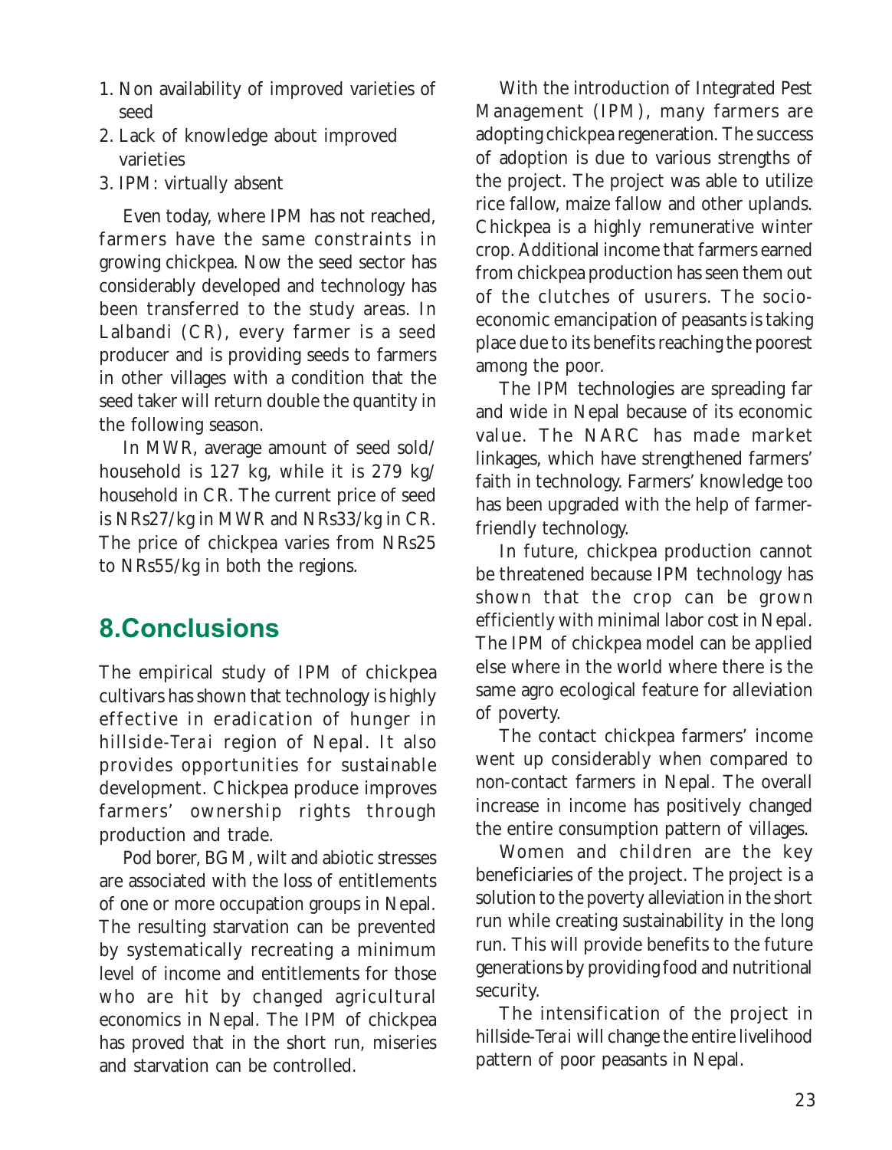- 1. Non availability of improved varieties of seed
- 2. Lack of knowledge about improved varieties
- 3. IPM: virtually absent

Even today, where IPM has not reached, farmers have the same constraints in growing chickpea. Now the seed sector has considerably developed and technology has been transferred to the study areas. In Lalbandi (CR), every farmer is a seed producer and is providing seeds to farmers in other villages with a condition that the seed taker will return double the quantity in the following season.

In MWR, average amount of seed sold/ household is 127 kg, while it is 279 kg/ household in CR. The current price of seed is NRs27/kg in MWR and NRs33/kg in CR. The price of chickpea varies from NRs25 to NRs55/kg in both the regions.

# 8.Conclusions

The empirical study of IPM of chickpea cultivars has shown that technology is highly effective in eradication of hunger in hillside-*Terai* region of Nepal. It also provides opportunities for sustainable development. Chickpea produce improves farmers' ownership rights through production and trade.

Pod borer, BGM, wilt and abiotic stresses are associated with the loss of entitlements of one or more occupation groups in Nepal. The resulting starvation can be prevented by systematically recreating a minimum level of income and entitlements for those who are hit by changed agricultural economics in Nepal. The IPM of chickpea has proved that in the short run, miseries and starvation can be controlled.

With the introduction of Integrated Pest Management (IPM), many farmers are adopting chickpea regeneration. The success of adoption is due to various strengths of the project. The project was able to utilize rice fallow, maize fallow and other uplands. Chickpea is a highly remunerative winter crop. Additional income that farmers earned from chickpea production has seen them out of the clutches of usurers. The socioeconomic emancipation of peasants is taking place due to its benefits reaching the poorest among the poor.

The IPM technologies are spreading far and wide in Nepal because of its economic value. The NARC has made market linkages, which have strengthened farmers' faith in technology. Farmers' knowledge too has been upgraded with the help of farmerfriendly technology.

In future, chickpea production cannot be threatened because IPM technology has shown that the crop can be grown efficiently with minimal labor cost in Nepal. The IPM of chickpea model can be applied else where in the world where there is the same agro ecological feature for alleviation of poverty.

The contact chickpea farmers' income went up considerably when compared to non-contact farmers in Nepal. The overall increase in income has positively changed the entire consumption pattern of villages.

Women and children are the key beneficiaries of the project. The project is a solution to the poverty alleviation in the short run while creating sustainability in the long run. This will provide benefits to the future generations by providing food and nutritional security.

The intensification of the project in hillside-*Terai* will change the entire livelihood pattern of poor peasants in Nepal.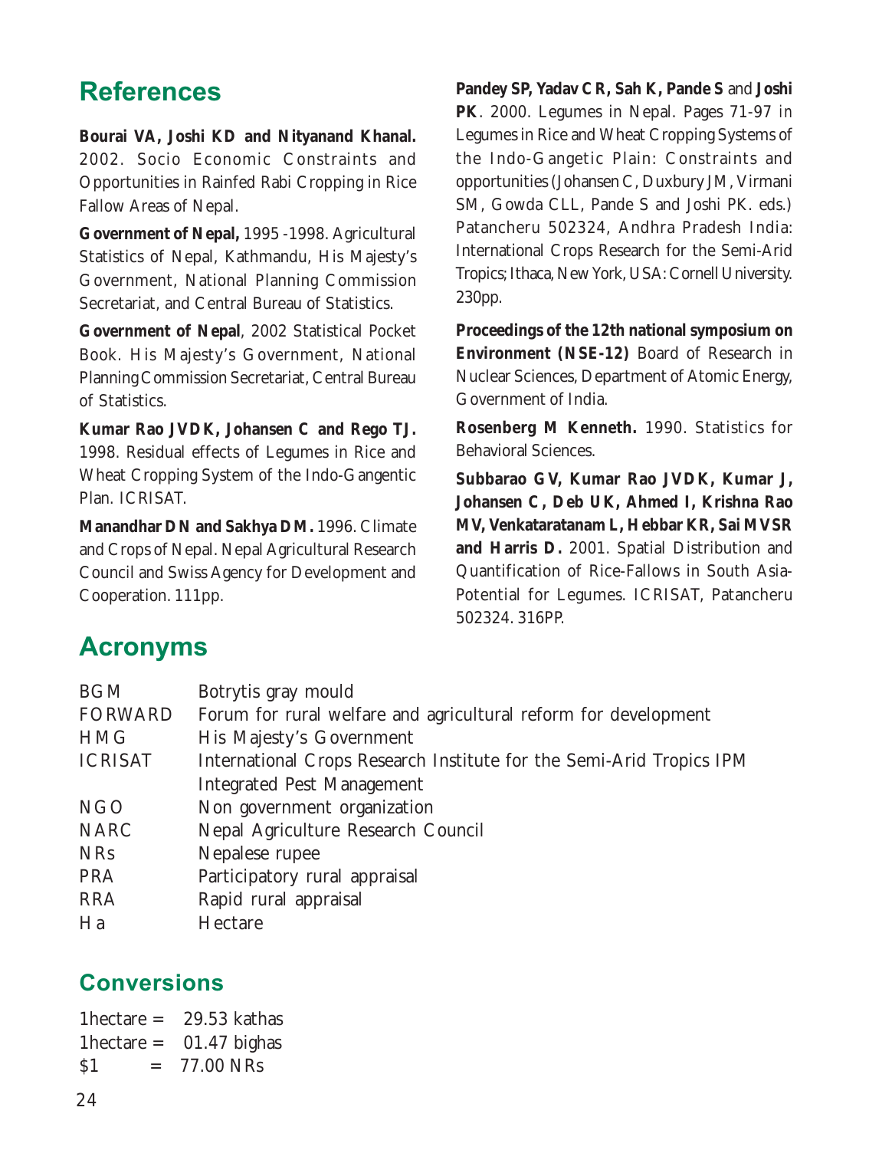# **References**

**Bourai VA, Joshi KD and Nityanand Khanal.** 2002. Socio Economic Constraints and Opportunities in Rainfed Rabi Cropping in Rice Fallow Areas of Nepal.

**Government of Nepal,** 1995 -1998. Agricultural Statistics of Nepal, Kathmandu, His Majesty's Government, National Planning Commission Secretariat, and Central Bureau of Statistics.

**Government of Nepal**, 2002 Statistical Pocket Book. His Majesty's Government, National Planning Commission Secretariat, Central Bureau of Statistics.

**Kumar Rao JVDK, Johansen C and Rego TJ.** 1998. Residual effects of Legumes in Rice and Wheat Cropping System of the Indo-Gangentic Plan. ICRISAT.

**Manandhar DN and Sakhya DM.** 1996. Climate and Crops of Nepal. Nepal Agricultural Research Council and Swiss Agency for Development and Cooperation. 111pp.

**Pandey SP, Yadav CR, Sah K, Pande S** and **Joshi PK**. 2000. Legumes in Nepal. Pages 71-97 *in* Legumes in Rice and Wheat Cropping Systems of the Indo-Gangetic Plain: Constraints and opportunities (Johansen C, Duxbury JM, Virmani SM, Gowda CLL, Pande S and Joshi PK. eds.) Patancheru 502324, Andhra Pradesh India: International Crops Research for the Semi-Arid Tropics; Ithaca, New York, USA: Cornell University. 230pp.

**Proceedings of the 12th national symposium on Environment (NSE-12)** Board of Research in Nuclear Sciences, Department of Atomic Energy, Government of India.

**Rosenberg M Kenneth.** 1990. Statistics for Behavioral Sciences.

**Subbarao GV, Kumar Rao JVDK, Kumar J, Johansen C, Deb UK, Ahmed I, Krishna Rao MV, Venkataratanam L, Hebbar KR, Sai MVSR and Harris D.** 2001. Spatial Distribution and Quantification of Rice-Fallows in South Asia-Potential for Legumes. ICRISAT, Patancheru 502324. 316PP.

### Acronyms

| <b>BGM</b>     | Botrytis gray mould                                                  |
|----------------|----------------------------------------------------------------------|
| <b>FORWARD</b> | Forum for rural welfare and agricultural reform for development      |
| <b>HMG</b>     | His Majesty's Government                                             |
| <b>ICRISAT</b> | International Crops Research Institute for the Semi-Arid Tropics IPM |
|                | <b>Integrated Pest Management</b>                                    |
| <b>NGO</b>     | Non government organization                                          |
| <b>NARC</b>    | Nepal Agriculture Research Council                                   |
| <b>NRs</b>     | Nepalese rupee                                                       |
| PRA            | Participatory rural appraisal                                        |
| <b>RRA</b>     | Rapid rural appraisal                                                |
| Ha             | Hectare                                                              |
|                |                                                                      |

### **Conversions**

1hectare  $= 29.53$  kathas 1hectare  $=$  01.47 bighas  $$1 = 77.00 NRs$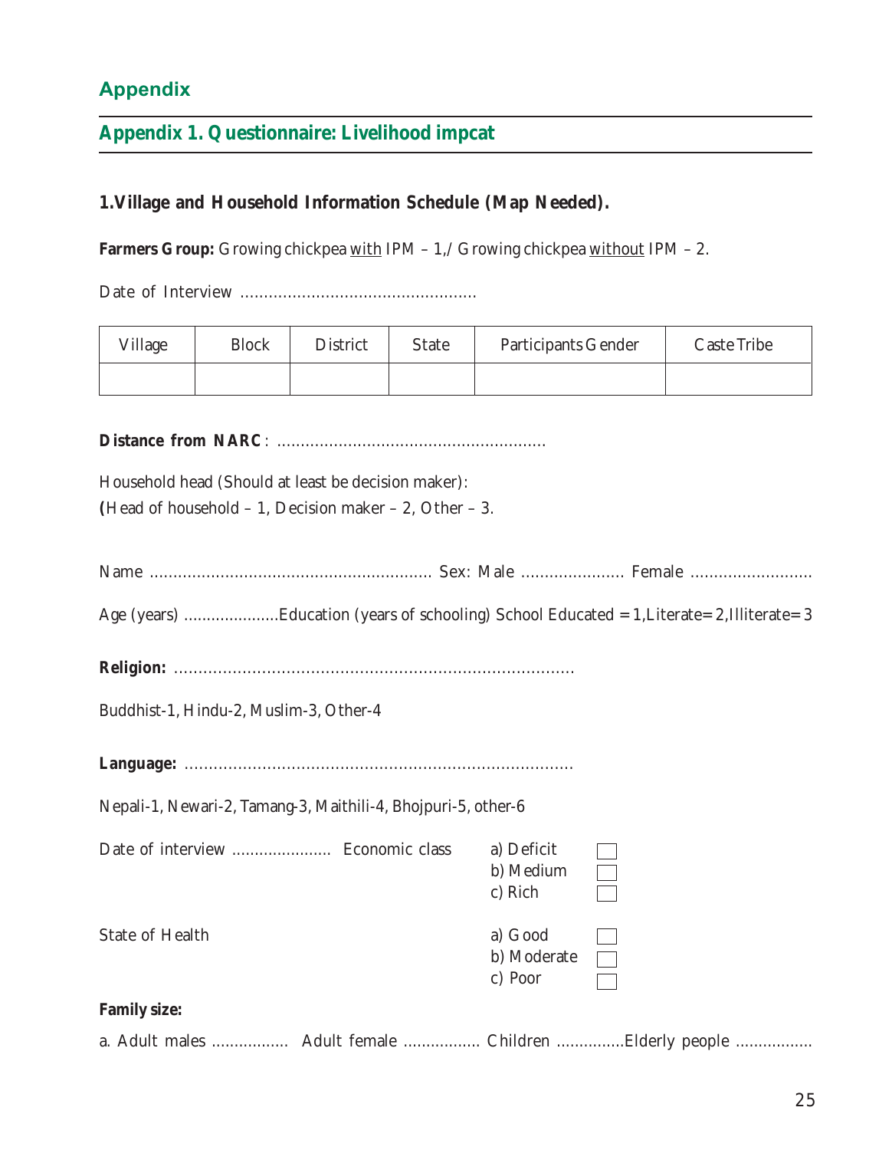### Appendix

#### **Appendix 1. Questionnaire: Livelihood impcat**

#### **1.Village and Household Information Schedule (Map Needed).**

Farmers Group: Growing chickpea with IPM - 1,/ Growing chickpea without IPM - 2.

Date of Interview ..................................................

| Village | <b>Block</b> | District | State | Participants Gender | Caste Tribe |
|---------|--------------|----------|-------|---------------------|-------------|
|         |              |          |       |                     |             |

**Distance from NARC***:* .........................................................

Household head (Should at least be decision maker): **(**Head of household – 1, Decision maker – 2, Other – 3.

| Age (years) Education (years of schooling) School Educated = 1, Literate= 2, Illiterate= 3 |                                    |  |
|--------------------------------------------------------------------------------------------|------------------------------------|--|
|                                                                                            |                                    |  |
| Buddhist-1, Hindu-2, Muslim-3, Other-4                                                     |                                    |  |
|                                                                                            |                                    |  |
| Nepali-1, Newari-2, Tamang-3, Maithili-4, Bhojpuri-5, other-6                              |                                    |  |
|                                                                                            | a) Deficit<br>b) Medium<br>c) Rich |  |
| State of Health                                                                            | a) Good<br>b) Moderate<br>c) Poor  |  |
| <b>Family size:</b>                                                                        |                                    |  |
| a. Adult males  Adult female  Children Elderly people                                      |                                    |  |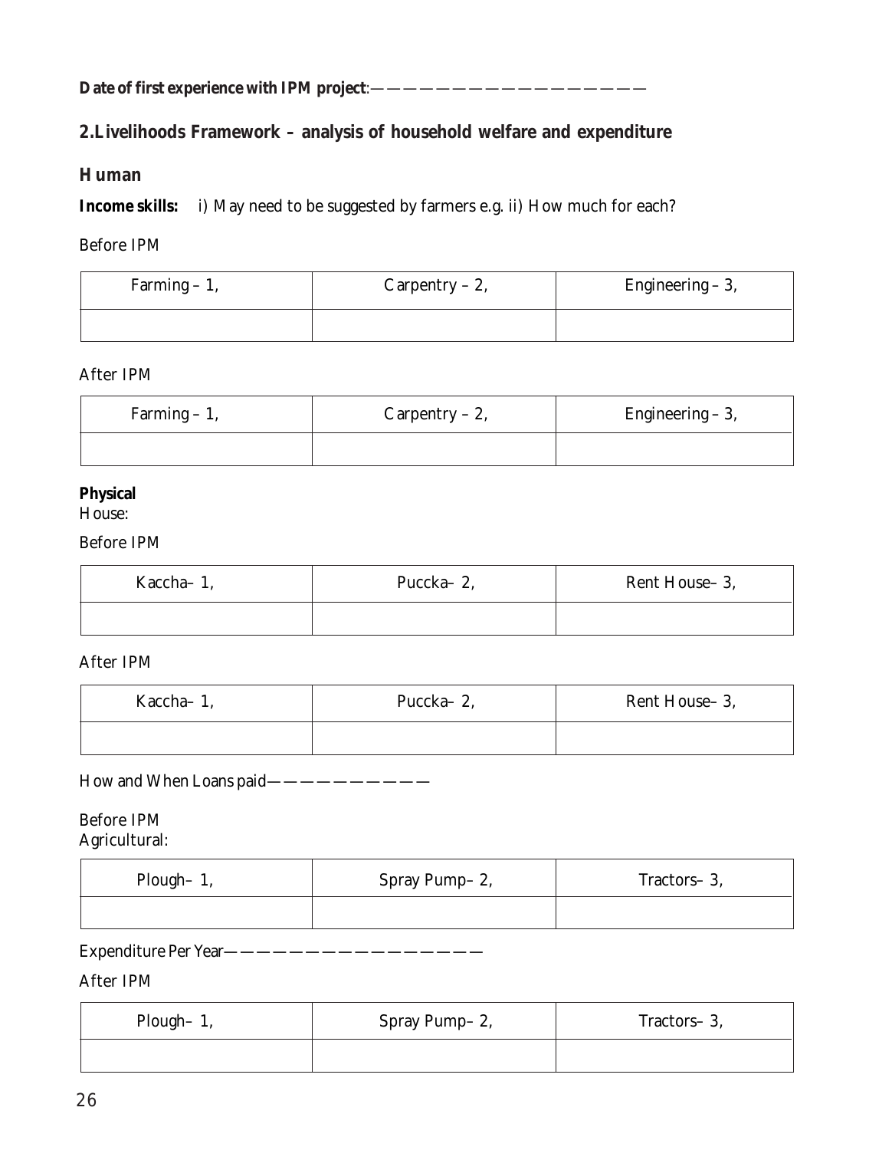**Date of first experience with IPM project**:—————————————————

#### **2.Livelihoods Framework – analysis of household welfare and expenditure**

#### **Human**

**Income skills:** i) May need to be suggested by farmers e.g. ii) How much for each?

#### Before IPM

| Farming $-1$ , | Carpentry $-2$ , | Engineering $-3$ , |  |
|----------------|------------------|--------------------|--|
|                |                  |                    |  |

#### After IPM

| Farming $-1$ , | $Carpentry - 2,$ | Engineering $-3$ , |
|----------------|------------------|--------------------|
|                |                  |                    |

#### **Physical**

House:

#### Before IPM

| Kaccha-1, | Puccka-2, | Rent House-3, |
|-----------|-----------|---------------|
|           |           |               |

#### After IPM

| Kaccha-1, | Puccka-2, | Rent House-3, |
|-----------|-----------|---------------|
|           |           |               |

#### How and When Loans paid-----------

#### Before IPM Agricultural:

| Plough-1, | Spray Pump-2, | Tractors-3, |
|-----------|---------------|-------------|
|           |               |             |

#### Expenditure Per Year————————————————

#### After IPM

| Plough- $1$ , | Spray Pump-2, | Tractors-3, |  |
|---------------|---------------|-------------|--|
|               |               |             |  |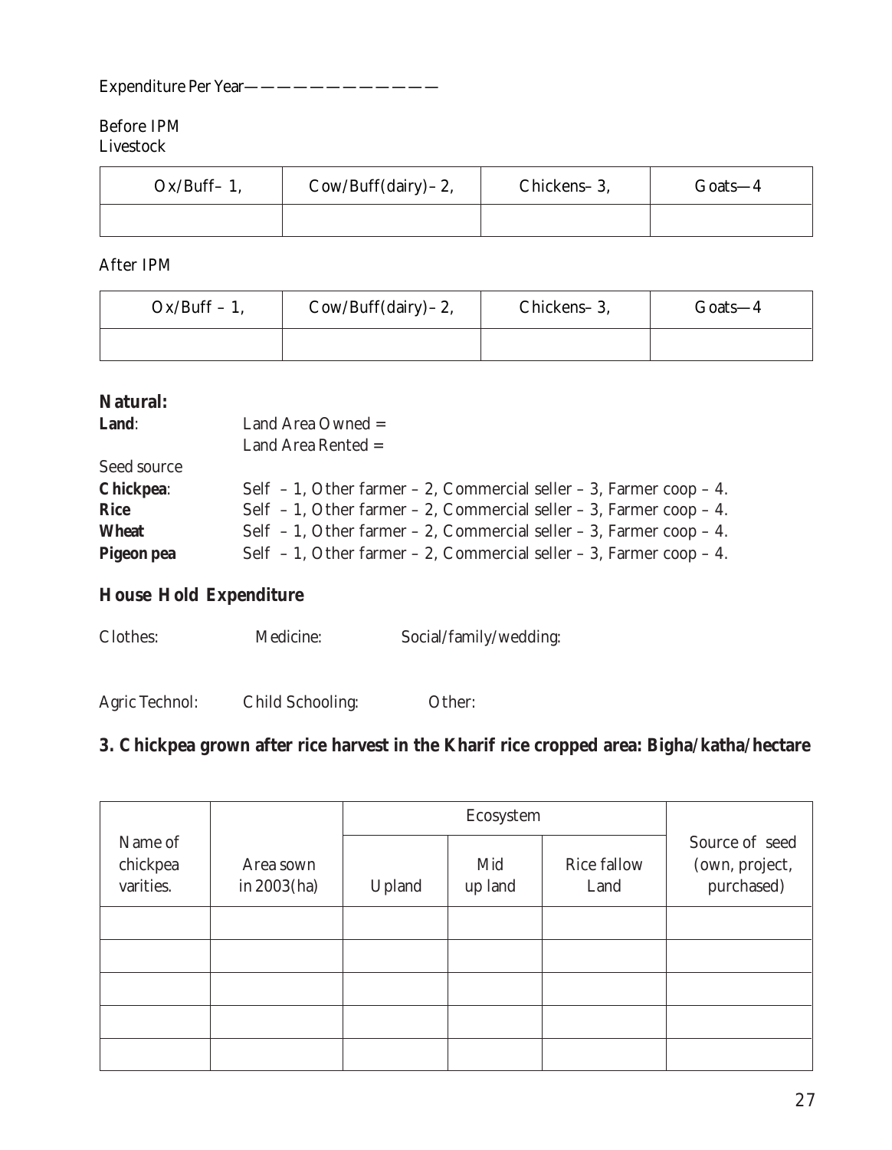#### Expenditure Per Year————————————

#### Before IPM Livestock

| $Ox/Buff-1$ , | Cow/Buff(dairy) – 2, | Chickens-3, | $Ga^{1.6}$ |
|---------------|----------------------|-------------|------------|
|               |                      |             |            |

After IPM

| $Ox/Buff - 1$ , | $Cow/Buff(dairy) - 2$ , | Chickens-3, | Goats—4 |
|-----------------|-------------------------|-------------|---------|
|                 |                         |             |         |

#### **Natural:**

| Land:        | Land Area Owned $=$<br>Land Area Rented $=$                                 |
|--------------|-----------------------------------------------------------------------------|
| Seed source  |                                                                             |
| Chickpea:    | Self $-1$ , Other farmer $-2$ , Commercial seller $-3$ , Farmer coop $-4$ . |
| Rice         | Self $-1$ , Other farmer $-2$ , Commercial seller $-3$ , Farmer coop $-4$ . |
| <b>Wheat</b> | Self $-1$ , Other farmer $-2$ , Commercial seller $-3$ , Farmer coop $-4$ . |
| Pigeon pea   | Self $-1$ , Other farmer $-2$ , Commercial seller $-3$ , Farmer coop $-4$ . |

#### **House Hold Expenditure**

| Social/family/wedding: |
|------------------------|
|                        |

Agric Technol: Child Schooling: Other:

#### **3. Chickpea grown after rice harvest in the Kharif rice cropped area: Bigha/katha/hectare**

| Name of<br>chickpea<br>varities. | Area sown<br>in $2003(ha)$ | Upland | Mid<br>up land | Rice fallow<br>Land | Source of seed<br>(own, project,<br>purchased) |
|----------------------------------|----------------------------|--------|----------------|---------------------|------------------------------------------------|
|                                  |                            |        |                |                     |                                                |
|                                  |                            |        |                |                     |                                                |
|                                  |                            |        |                |                     |                                                |
|                                  |                            |        |                |                     |                                                |
|                                  |                            |        |                |                     |                                                |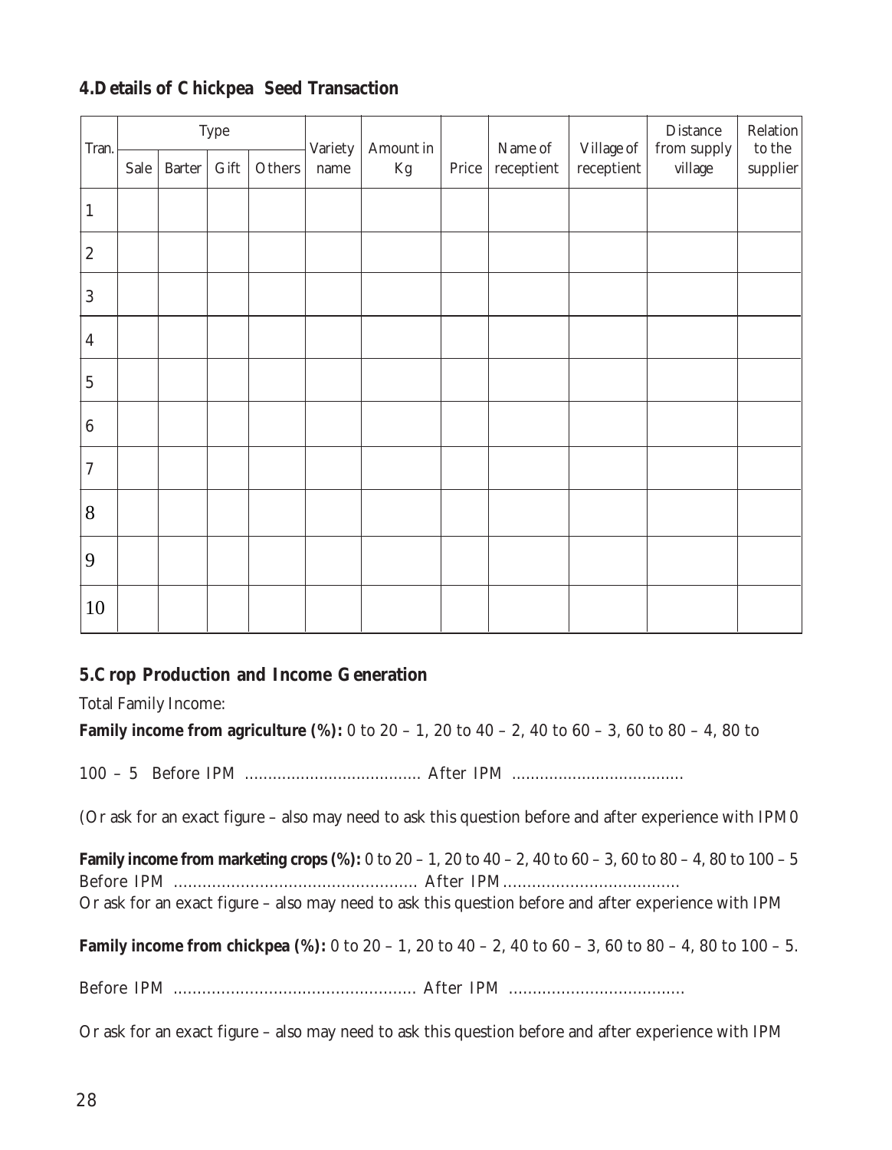#### **4.Details of Chickpea Seed Transaction**

| Tran.            | Type |        | Variety | Amount in |      | Name of | Village of | Distance<br>from supply | Relation<br>to the $\,$ |         |          |
|------------------|------|--------|---------|-----------|------|---------|------------|-------------------------|-------------------------|---------|----------|
|                  | Sale | Barter | Gift    | Others    | name | Kg      | Price      | receptient              | receptient              | village | supplier |
| $\mathbf{1}$     |      |        |         |           |      |         |            |                         |                         |         |          |
| $\sqrt{2}$       |      |        |         |           |      |         |            |                         |                         |         |          |
| $\sqrt{3}$       |      |        |         |           |      |         |            |                         |                         |         |          |
| $\overline{4}$   |      |        |         |           |      |         |            |                         |                         |         |          |
| $\mathbf 5$      |      |        |         |           |      |         |            |                         |                         |         |          |
| $\,6\,$          |      |        |         |           |      |         |            |                         |                         |         |          |
| $\boldsymbol{7}$ |      |        |         |           |      |         |            |                         |                         |         |          |
| 8                |      |        |         |           |      |         |            |                         |                         |         |          |
| 9                |      |        |         |           |      |         |            |                         |                         |         |          |
| $10\,$           |      |        |         |           |      |         |            |                         |                         |         |          |

#### **5.Crop Production and Income Generation**

Total Family Income:

**Family income from agriculture (%):** 0 to 20 – 1, 20 to 40 – 2, 40 to 60 – 3, 60 to 80 – 4, 80 to

100 – 5 Before IPM ...................................... After IPM .....................................

(Or ask for an exact figure – also may need to ask this question before and after experience with IPM0

**Family income from marketing crops (%):** 0 to 20 – 1, 20 to 40 – 2, 40 to 60 – 3, 60 to 80 – 4, 80 to 100 – 5 Before IPM ................................................... After IPM..................................... Or ask for an exact figure – also may need to ask this question before and after experience with IPM

**Family income from chickpea (%):** 0 to 20 – 1, 20 to 40 – 2, 40 to 60 – 3, 60 to 80 – 4, 80 to 100 – 5.

Before IPM ................................................... After IPM .....................................

Or ask for an exact figure – also may need to ask this question before and after experience with IPM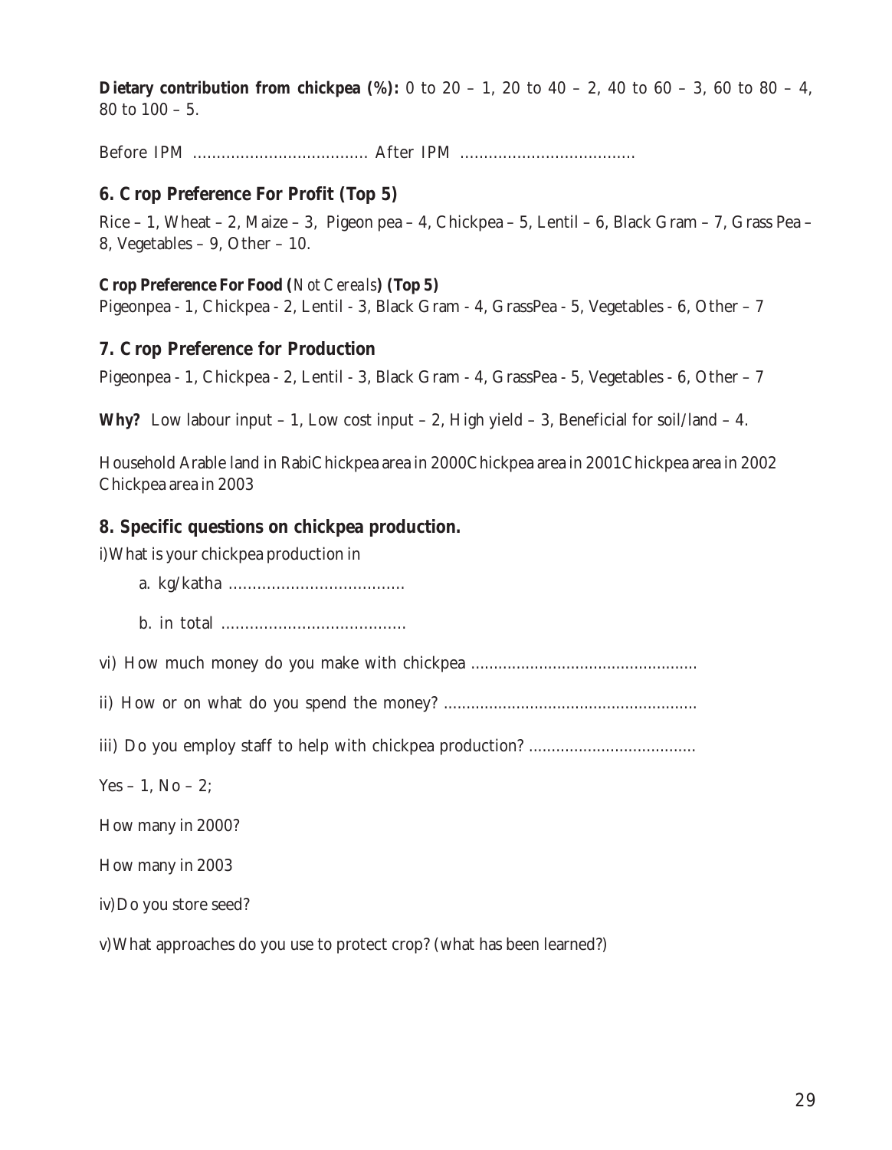**Dietary contribution from chickpea (%):** 0 to 20 – 1, 20 to 40 – 2, 40 to 60 – 3, 60 to 80 – 4, 80 to 100 – 5.

Before IPM ..................................... After IPM .....................................

#### **6. Crop Preference For Profit (Top 5)**

Rice – 1, Wheat – 2, Maize – 3, Pigeon pea – 4, Chickpea – 5, Lentil – 6, Black Gram – 7, Grass Pea – 8, Vegetables – 9, Other – 10.

#### **Crop Preference For Food (***Not Cereals***) (Top 5)**

Pigeonpea - 1, Chickpea - 2, Lentil - 3, Black Gram - 4, GrassPea - 5, Vegetables - 6, Other – 7

#### **7. Crop Preference for Production**

Pigeonpea - 1, Chickpea - 2, Lentil - 3, Black Gram - 4, GrassPea - 5, Vegetables - 6, Other – 7

**Why?** Low labour input  $-1$ , Low cost input  $-2$ , High yield  $-3$ , Beneficial for soil/land  $-4$ .

Household Arable land in RabiChickpea area in 2000Chickpea area in 2001Chickpea area in 2002 Chickpea area in 2003

#### **8. Specific questions on chickpea production.**

i)What is your chickpea production in

- a. kg/katha .....................................
- b. in total .......................................

vi) How much money do you make with chickpea ..................................................

ii) How or on what do you spend the money? ........................................................

iii) Do you employ staff to help with chickpea production? .....................................

Yes – 1, No – 2;

How many in 2000?

How many in 2003

iv)Do you store seed?

v)What approaches do you use to protect crop? (what has been learned?)